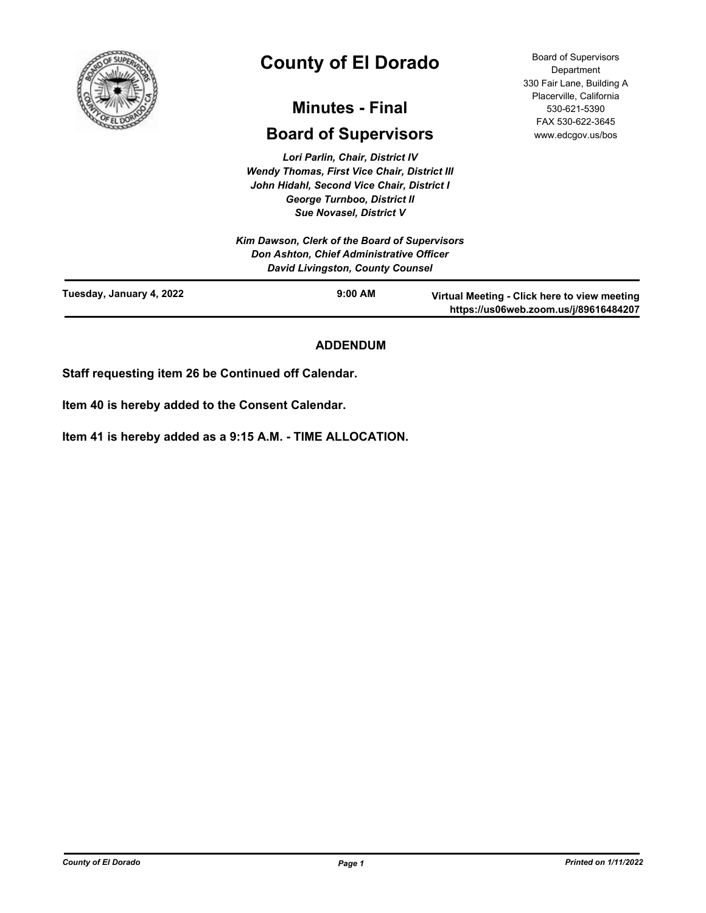

# **County of El Dorado**

# **Minutes - Final**

# **Board of Supervisors**

*Lori Parlin, Chair, District IV Wendy Thomas, First Vice Chair, District III John Hidahl, Second Vice Chair, District I George Turnboo, District II Sue Novasel, District V*

Board of Supervisors **Department** 330 Fair Lane, Building A Placerville, California 530-621-5390 FAX 530-622-3645 www.edcgov.us/bos

|                          | Kim Dawson, Clerk of the Board of Supervisors<br>Don Ashton, Chief Administrative Officer<br><b>David Livingston, County Counsel</b> |                                                                                       |
|--------------------------|--------------------------------------------------------------------------------------------------------------------------------------|---------------------------------------------------------------------------------------|
| Tuesday, January 4, 2022 | $9:00$ AM                                                                                                                            | Virtual Meeting - Click here to view meeting<br>https://us06web.zoom.us/j/89616484207 |

# **ADDENDUM**

**Staff requesting item 26 be Continued off Calendar.**

**Item 40 is hereby added to the Consent Calendar.**

**Item 41 is hereby added as a 9:15 A.M. - TIME ALLOCATION.**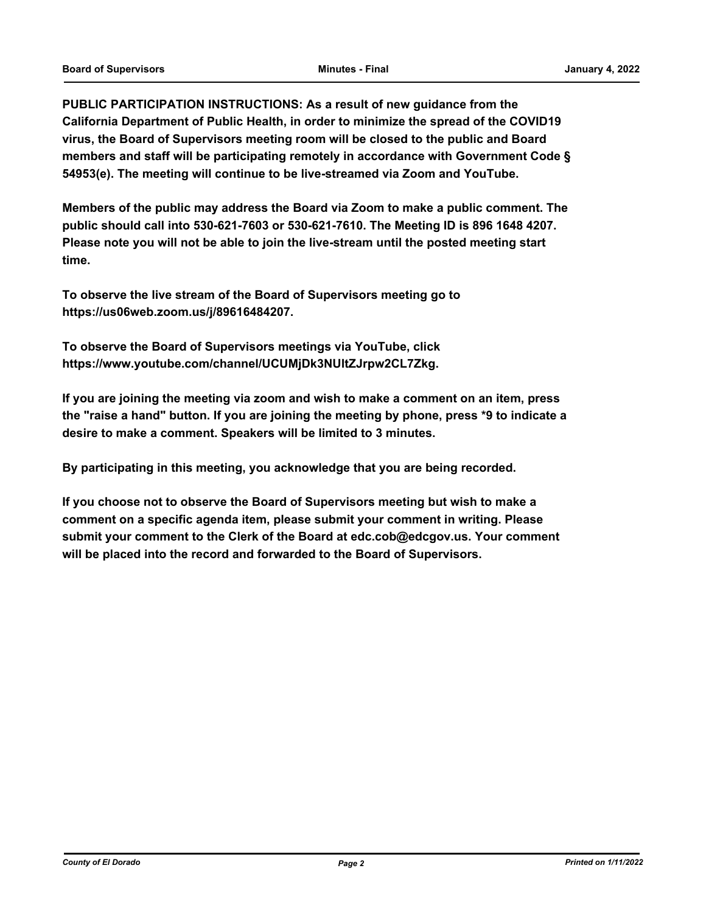**PUBLIC PARTICIPATION INSTRUCTIONS: As a result of new guidance from the California Department of Public Health, in order to minimize the spread of the COVID19 virus, the Board of Supervisors meeting room will be closed to the public and Board members and staff will be participating remotely in accordance with Government Code § 54953(e). The meeting will continue to be live-streamed via Zoom and YouTube.**

**Members of the public may address the Board via Zoom to make a public comment. The public should call into 530-621-7603 or 530-621-7610. The Meeting ID is 896 1648 4207. Please note you will not be able to join the live-stream until the posted meeting start time.**

**To observe the live stream of the Board of Supervisors meeting go to https://us06web.zoom.us/j/89616484207.**

**To observe the Board of Supervisors meetings via YouTube, click https://www.youtube.com/channel/UCUMjDk3NUltZJrpw2CL7Zkg.**

**If you are joining the meeting via zoom and wish to make a comment on an item, press the "raise a hand" button. If you are joining the meeting by phone, press \*9 to indicate a desire to make a comment. Speakers will be limited to 3 minutes.**

**By participating in this meeting, you acknowledge that you are being recorded.**

**If you choose not to observe the Board of Supervisors meeting but wish to make a comment on a specific agenda item, please submit your comment in writing. Please submit your comment to the Clerk of the Board at edc.cob@edcgov.us. Your comment will be placed into the record and forwarded to the Board of Supervisors.**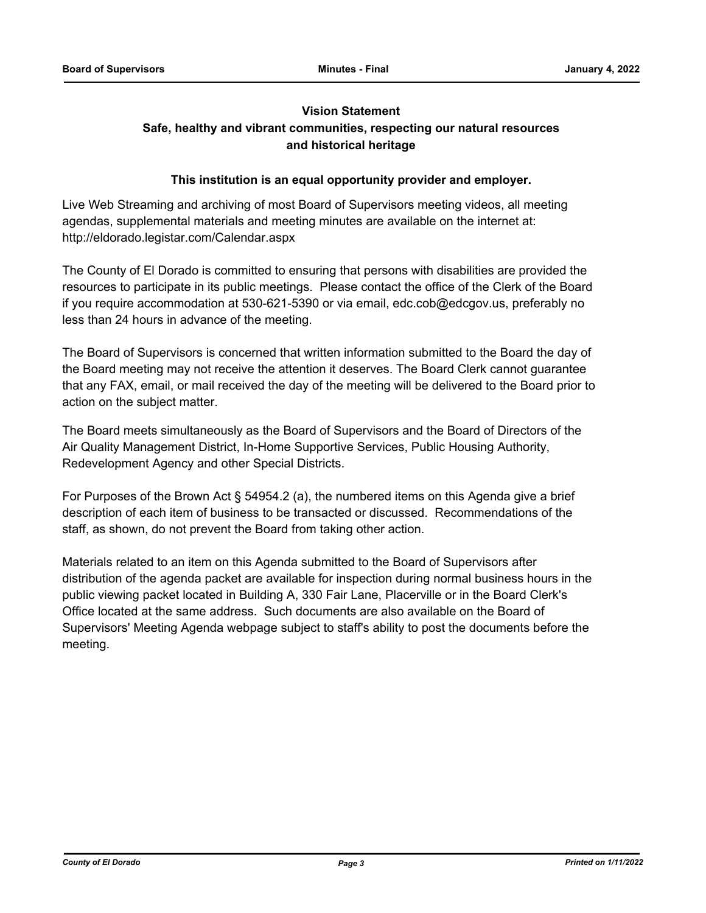# **Vision Statement**

# **Safe, healthy and vibrant communities, respecting our natural resources and historical heritage**

# **This institution is an equal opportunity provider and employer.**

Live Web Streaming and archiving of most Board of Supervisors meeting videos, all meeting agendas, supplemental materials and meeting minutes are available on the internet at: http://eldorado.legistar.com/Calendar.aspx

The County of El Dorado is committed to ensuring that persons with disabilities are provided the resources to participate in its public meetings. Please contact the office of the Clerk of the Board if you require accommodation at 530-621-5390 or via email, edc.cob@edcgov.us, preferably no less than 24 hours in advance of the meeting.

The Board of Supervisors is concerned that written information submitted to the Board the day of the Board meeting may not receive the attention it deserves. The Board Clerk cannot guarantee that any FAX, email, or mail received the day of the meeting will be delivered to the Board prior to action on the subject matter.

The Board meets simultaneously as the Board of Supervisors and the Board of Directors of the Air Quality Management District, In-Home Supportive Services, Public Housing Authority, Redevelopment Agency and other Special Districts.

For Purposes of the Brown Act § 54954.2 (a), the numbered items on this Agenda give a brief description of each item of business to be transacted or discussed. Recommendations of the staff, as shown, do not prevent the Board from taking other action.

Materials related to an item on this Agenda submitted to the Board of Supervisors after distribution of the agenda packet are available for inspection during normal business hours in the public viewing packet located in Building A, 330 Fair Lane, Placerville or in the Board Clerk's Office located at the same address. Such documents are also available on the Board of Supervisors' Meeting Agenda webpage subject to staff's ability to post the documents before the meeting.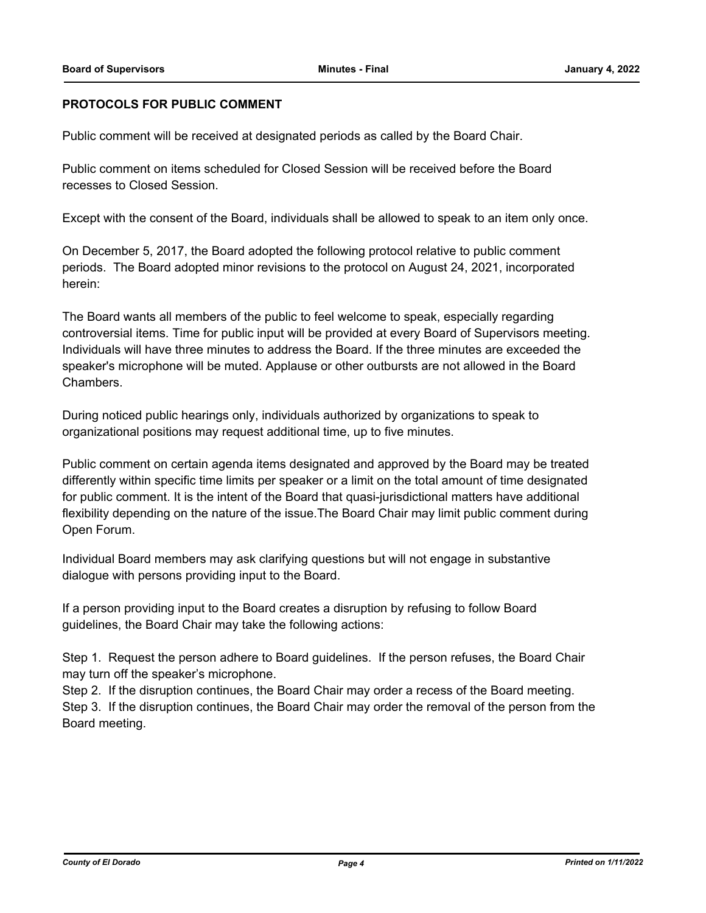# **PROTOCOLS FOR PUBLIC COMMENT**

Public comment will be received at designated periods as called by the Board Chair.

Public comment on items scheduled for Closed Session will be received before the Board recesses to Closed Session.

Except with the consent of the Board, individuals shall be allowed to speak to an item only once.

On December 5, 2017, the Board adopted the following protocol relative to public comment periods. The Board adopted minor revisions to the protocol on August 24, 2021, incorporated herein:

The Board wants all members of the public to feel welcome to speak, especially regarding controversial items. Time for public input will be provided at every Board of Supervisors meeting. Individuals will have three minutes to address the Board. If the three minutes are exceeded the speaker's microphone will be muted. Applause or other outbursts are not allowed in the Board Chambers.

During noticed public hearings only, individuals authorized by organizations to speak to organizational positions may request additional time, up to five minutes.

Public comment on certain agenda items designated and approved by the Board may be treated differently within specific time limits per speaker or a limit on the total amount of time designated for public comment. It is the intent of the Board that quasi-jurisdictional matters have additional flexibility depending on the nature of the issue.The Board Chair may limit public comment during Open Forum.

Individual Board members may ask clarifying questions but will not engage in substantive dialogue with persons providing input to the Board.

If a person providing input to the Board creates a disruption by refusing to follow Board guidelines, the Board Chair may take the following actions:

Step 1. Request the person adhere to Board guidelines. If the person refuses, the Board Chair may turn off the speaker's microphone.

Step 2. If the disruption continues, the Board Chair may order a recess of the Board meeting. Step 3. If the disruption continues, the Board Chair may order the removal of the person from the Board meeting.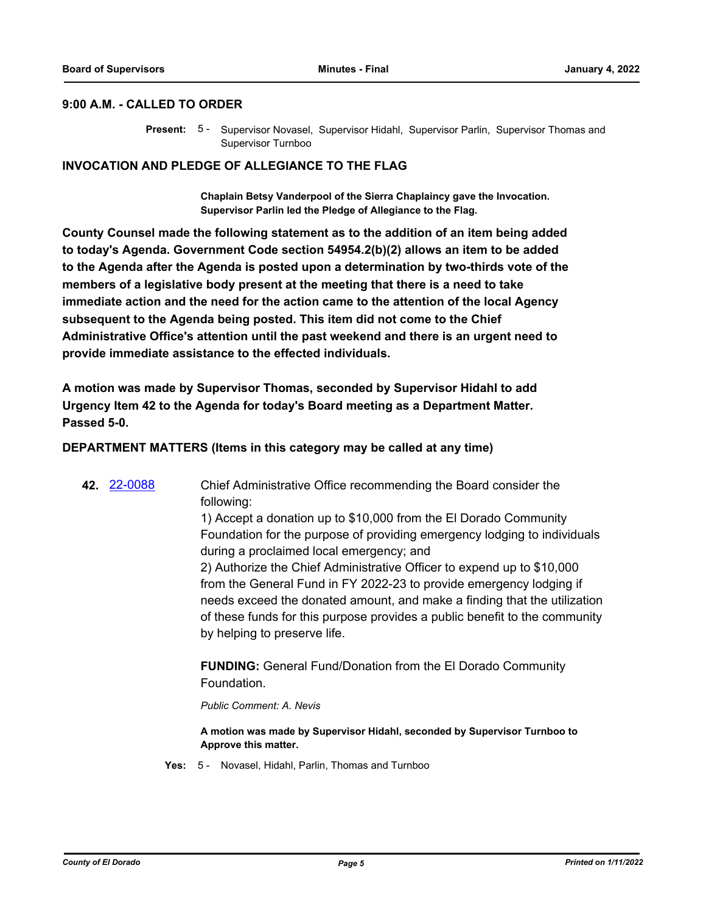#### **9:00 A.M. - CALLED TO ORDER**

Present: 5 - Supervisor Novasel, Supervisor Hidahl, Supervisor Parlin, Supervisor Thomas and Supervisor Turnboo

# **INVOCATION AND PLEDGE OF ALLEGIANCE TO THE FLAG**

**Chaplain Betsy Vanderpool of the Sierra Chaplaincy gave the Invocation. Supervisor Parlin led the Pledge of Allegiance to the Flag.**

**County Counsel made the following statement as to the addition of an item being added to today's Agenda. Government Code section 54954.2(b)(2) allows an item to be added to the Agenda after the Agenda is posted upon a determination by two-thirds vote of the members of a legislative body present at the meeting that there is a need to take immediate action and the need for the action came to the attention of the local Agency subsequent to the Agenda being posted. This item did not come to the Chief Administrative Office's attention until the past weekend and there is an urgent need to provide immediate assistance to the effected individuals.**

**A motion was made by Supervisor Thomas, seconded by Supervisor Hidahl to add Urgency Item 42 to the Agenda for today's Board meeting as a Department Matter. Passed 5-0.**

# **DEPARTMENT MATTERS (Items in this category may be called at any time)**

**42.** [22-0088](http://eldorado.legistar.com/gateway.aspx?m=l&id=/matter.aspx?key=30988) Chief Administrative Office recommending the Board consider the following: 1) Accept a donation up to \$10,000 from the El Dorado Community Foundation for the purpose of providing emergency lodging to individuals during a proclaimed local emergency; and 2) Authorize the Chief Administrative Officer to expend up to \$10,000 from the General Fund in FY 2022-23 to provide emergency lodging if needs exceed the donated amount, and make a finding that the utilization of these funds for this purpose provides a public benefit to the community by helping to preserve life. **FUNDING:** General Fund/Donation from the El Dorado Community

Foundation.

*Public Comment: A. Nevis*

**A motion was made by Supervisor Hidahl, seconded by Supervisor Turnboo to Approve this matter.**

**Yes:** 5 - Novasel, Hidahl, Parlin, Thomas and Turnboo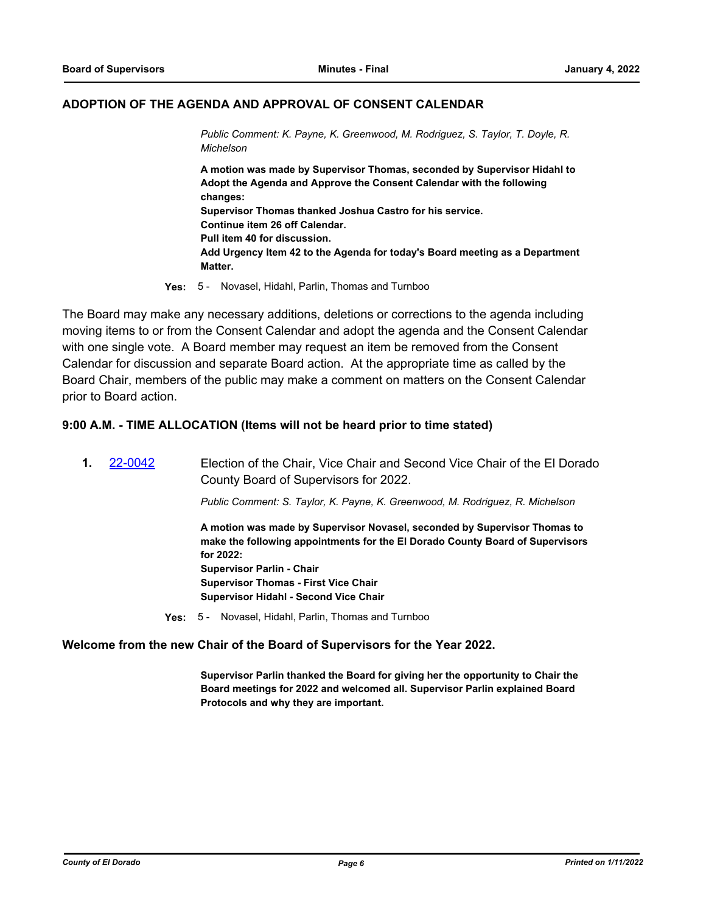## **ADOPTION OF THE AGENDA AND APPROVAL OF CONSENT CALENDAR**

*Public Comment: K. Payne, K. Greenwood, M. Rodriguez, S. Taylor, T. Doyle, R. Michelson*

**A motion was made by Supervisor Thomas, seconded by Supervisor Hidahl to Adopt the Agenda and Approve the Consent Calendar with the following changes: Supervisor Thomas thanked Joshua Castro for his service. Continue item 26 off Calendar. Pull item 40 for discussion. Add Urgency Item 42 to the Agenda for today's Board meeting as a Department Matter.**

**Yes:** 5 - Novasel, Hidahl, Parlin, Thomas and Turnboo

The Board may make any necessary additions, deletions or corrections to the agenda including moving items to or from the Consent Calendar and adopt the agenda and the Consent Calendar with one single vote. A Board member may request an item be removed from the Consent Calendar for discussion and separate Board action. At the appropriate time as called by the Board Chair, members of the public may make a comment on matters on the Consent Calendar prior to Board action.

#### **9:00 A.M. - TIME ALLOCATION (Items will not be heard prior to time stated)**

| 22-0042 | Election of the Chair, Vice Chair and Second Vice Chair of the El Dorado<br>County Board of Supervisors for 2022.                                                                                                                                                                                             |
|---------|---------------------------------------------------------------------------------------------------------------------------------------------------------------------------------------------------------------------------------------------------------------------------------------------------------------|
|         | Public Comment: S. Taylor, K. Payne, K. Greenwood, M. Rodriguez, R. Michelson                                                                                                                                                                                                                                 |
|         | A motion was made by Supervisor Novasel, seconded by Supervisor Thomas to<br>make the following appointments for the El Dorado County Board of Supervisors<br>for $2022$ :<br><b>Supervisor Parlin - Chair</b><br><b>Supervisor Thomas - First Vice Chair</b><br><b>Supervisor Hidahl - Second Vice Chair</b> |

**Yes:** 5 - Novasel, Hidahl, Parlin, Thomas and Turnboo

#### **Welcome from the new Chair of the Board of Supervisors for the Year 2022.**

**Supervisor Parlin thanked the Board for giving her the opportunity to Chair the Board meetings for 2022 and welcomed all. Supervisor Parlin explained Board Protocols and why they are important.**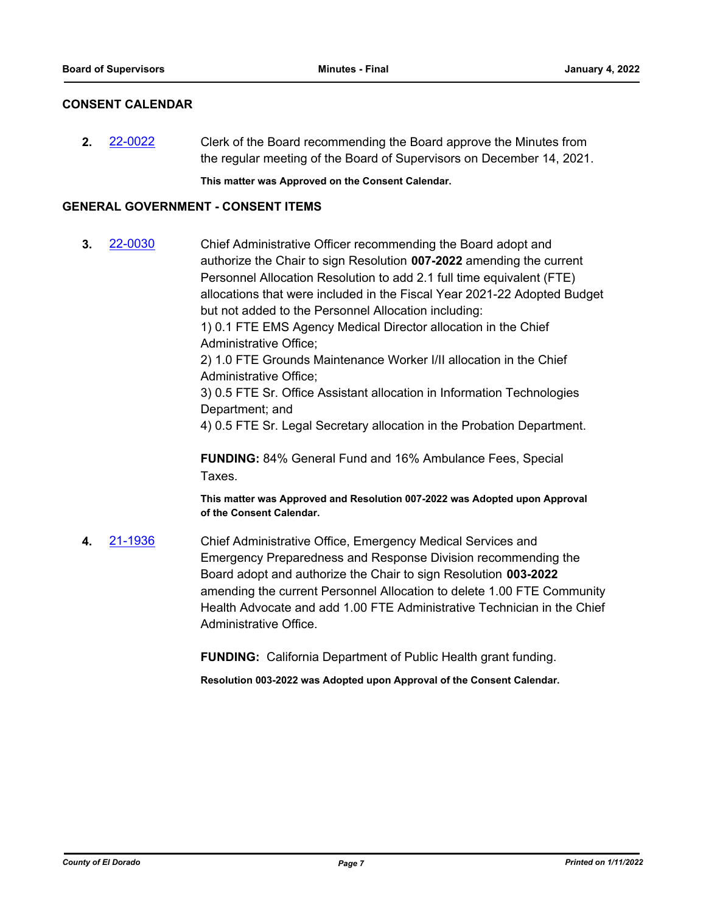# **CONSENT CALENDAR**

**2.** [22-0022](http://eldorado.legistar.com/gateway.aspx?m=l&id=/matter.aspx?key=30922) Clerk of the Board recommending the Board approve the Minutes from the regular meeting of the Board of Supervisors on December 14, 2021.

**This matter was Approved on the Consent Calendar.**

# **GENERAL GOVERNMENT - CONSENT ITEMS**

**3.** [22-0030](http://eldorado.legistar.com/gateway.aspx?m=l&id=/matter.aspx?key=30930) Chief Administrative Officer recommending the Board adopt and authorize the Chair to sign Resolution **007-2022** amending the current Personnel Allocation Resolution to add 2.1 full time equivalent (FTE) allocations that were included in the Fiscal Year 2021-22 Adopted Budget but not added to the Personnel Allocation including: 1) 0.1 FTE EMS Agency Medical Director allocation in the Chief Administrative Office; 2) 1.0 FTE Grounds Maintenance Worker I/II allocation in the Chief Administrative Office; 3) 0.5 FTE Sr. Office Assistant allocation in Information Technologies Department; and 4) 0.5 FTE Sr. Legal Secretary allocation in the Probation Department.

> **FUNDING:** 84% General Fund and 16% Ambulance Fees, Special Taxes.

**This matter was Approved and Resolution 007-2022 was Adopted upon Approval of the Consent Calendar.**

**4.** [21-1936](http://eldorado.legistar.com/gateway.aspx?m=l&id=/matter.aspx?key=30832) Chief Administrative Office, Emergency Medical Services and Emergency Preparedness and Response Division recommending the Board adopt and authorize the Chair to sign Resolution **003-2022**  amending the current Personnel Allocation to delete 1.00 FTE Community Health Advocate and add 1.00 FTE Administrative Technician in the Chief Administrative Office.

**FUNDING:** California Department of Public Health grant funding.

**Resolution 003-2022 was Adopted upon Approval of the Consent Calendar.**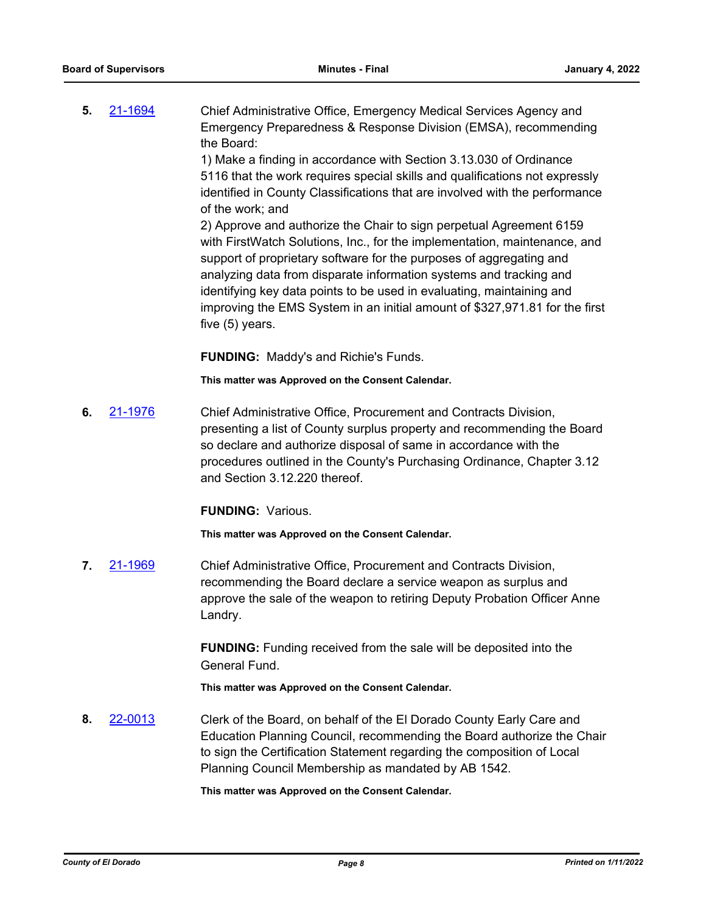**5.** [21-1694](http://eldorado.legistar.com/gateway.aspx?m=l&id=/matter.aspx?key=30589) Chief Administrative Office, Emergency Medical Services Agency and Emergency Preparedness & Response Division (EMSA), recommending the Board:

> 1) Make a finding in accordance with Section 3.13.030 of Ordinance 5116 that the work requires special skills and qualifications not expressly identified in County Classifications that are involved with the performance of the work; and

> 2) Approve and authorize the Chair to sign perpetual Agreement 6159 with FirstWatch Solutions, Inc., for the implementation, maintenance, and support of proprietary software for the purposes of aggregating and analyzing data from disparate information systems and tracking and identifying key data points to be used in evaluating, maintaining and improving the EMS System in an initial amount of \$327,971.81 for the first five (5) years.

**FUNDING:** Maddy's and Richie's Funds.

**This matter was Approved on the Consent Calendar.**

**6.** [21-1976](http://eldorado.legistar.com/gateway.aspx?m=l&id=/matter.aspx?key=30872) Chief Administrative Office, Procurement and Contracts Division, presenting a list of County surplus property and recommending the Board so declare and authorize disposal of same in accordance with the procedures outlined in the County's Purchasing Ordinance, Chapter 3.12 and Section 3.12.220 thereof.

**FUNDING:** Various.

**This matter was Approved on the Consent Calendar.**

**7.** [21-1969](http://eldorado.legistar.com/gateway.aspx?m=l&id=/matter.aspx?key=30865) Chief Administrative Office, Procurement and Contracts Division, recommending the Board declare a service weapon as surplus and approve the sale of the weapon to retiring Deputy Probation Officer Anne Landry.

> **FUNDING:** Funding received from the sale will be deposited into the General Fund.

**This matter was Approved on the Consent Calendar.**

**8.** [22-0013](http://eldorado.legistar.com/gateway.aspx?m=l&id=/matter.aspx?key=30913) Clerk of the Board, on behalf of the El Dorado County Early Care and Education Planning Council, recommending the Board authorize the Chair to sign the Certification Statement regarding the composition of Local Planning Council Membership as mandated by AB 1542.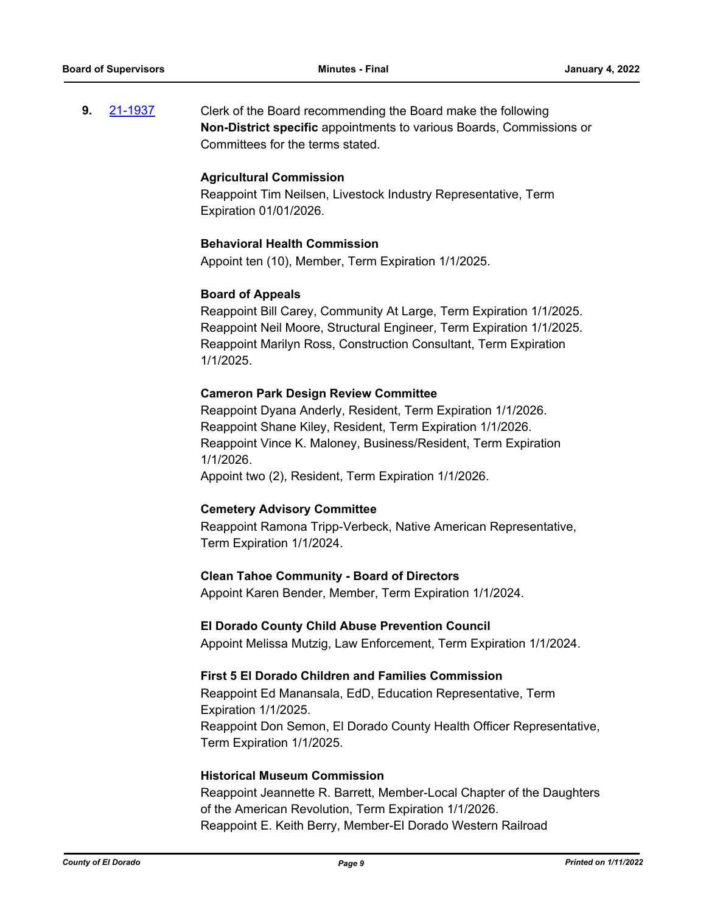**9.** [21-1937](http://eldorado.legistar.com/gateway.aspx?m=l&id=/matter.aspx?key=30833) Clerk of the Board recommending the Board make the following **Non-District specific** appointments to various Boards, Commissions or Committees for the terms stated.

#### **Agricultural Commission**

Reappoint Tim Neilsen, Livestock Industry Representative, Term Expiration 01/01/2026.

# **Behavioral Health Commission**

Appoint ten (10), Member, Term Expiration 1/1/2025.

# **Board of Appeals**

Reappoint Bill Carey, Community At Large, Term Expiration 1/1/2025. Reappoint Neil Moore, Structural Engineer, Term Expiration 1/1/2025. Reappoint Marilyn Ross, Construction Consultant, Term Expiration 1/1/2025.

# **Cameron Park Design Review Committee**

Reappoint Dyana Anderly, Resident, Term Expiration 1/1/2026. Reappoint Shane Kiley, Resident, Term Expiration 1/1/2026. Reappoint Vince K. Maloney, Business/Resident, Term Expiration 1/1/2026.

Appoint two (2), Resident, Term Expiration 1/1/2026.

#### **Cemetery Advisory Committee**

Reappoint Ramona Tripp-Verbeck, Native American Representative, Term Expiration 1/1/2024.

#### **Clean Tahoe Community - Board of Directors**

Appoint Karen Bender, Member, Term Expiration 1/1/2024.

#### **El Dorado County Child Abuse Prevention Council**

Appoint Melissa Mutzig, Law Enforcement, Term Expiration 1/1/2024.

#### **First 5 El Dorado Children and Families Commission**

Reappoint Ed Manansala, EdD, Education Representative, Term Expiration 1/1/2025. Reappoint Don Semon, El Dorado County Health Officer Representative, Term Expiration 1/1/2025.

# **Historical Museum Commission**

Reappoint Jeannette R. Barrett, Member-Local Chapter of the Daughters of the American Revolution, Term Expiration 1/1/2026. Reappoint E. Keith Berry, Member-El Dorado Western Railroad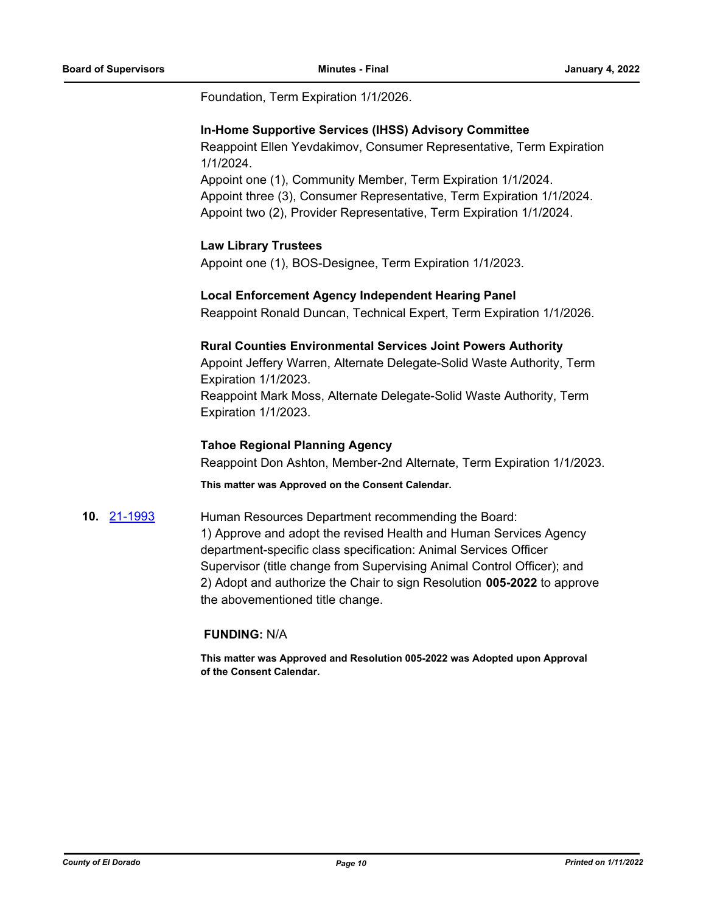Foundation, Term Expiration 1/1/2026.

#### **In-Home Supportive Services (IHSS) Advisory Committee**

Reappoint Ellen Yevdakimov, Consumer Representative, Term Expiration 1/1/2024.

Appoint one (1), Community Member, Term Expiration 1/1/2024. Appoint three (3), Consumer Representative, Term Expiration 1/1/2024. Appoint two (2), Provider Representative, Term Expiration 1/1/2024.

# **Law Library Trustees**

Appoint one (1), BOS-Designee, Term Expiration 1/1/2023.

# **Local Enforcement Agency Independent Hearing Panel**

Reappoint Ronald Duncan, Technical Expert, Term Expiration 1/1/2026.

# **Rural Counties Environmental Services Joint Powers Authority**

Appoint Jeffery Warren, Alternate Delegate-Solid Waste Authority, Term Expiration 1/1/2023. Reappoint Mark Moss, Alternate Delegate-Solid Waste Authority, Term Expiration 1/1/2023.

# **Tahoe Regional Planning Agency**

Reappoint Don Ashton, Member-2nd Alternate, Term Expiration 1/1/2023.

**This matter was Approved on the Consent Calendar.**

# **10.** [21-1993](http://eldorado.legistar.com/gateway.aspx?m=l&id=/matter.aspx?key=30889) Human Resources Department recommending the Board:

1) Approve and adopt the revised Health and Human Services Agency department-specific class specification: Animal Services Officer Supervisor (title change from Supervising Animal Control Officer); and 2) Adopt and authorize the Chair to sign Resolution **005-2022** to approve the abovementioned title change.

# **FUNDING:** N/A

**This matter was Approved and Resolution 005-2022 was Adopted upon Approval of the Consent Calendar.**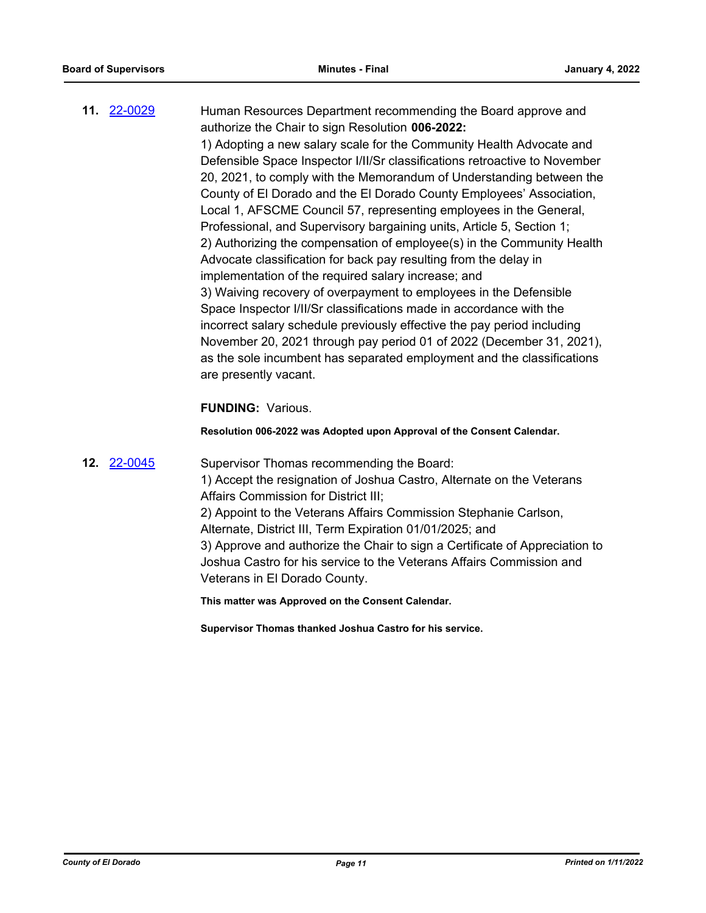**11.** [22-0029](http://eldorado.legistar.com/gateway.aspx?m=l&id=/matter.aspx?key=30929) Human Resources Department recommending the Board approve and authorize the Chair to sign Resolution **006-2022:** 1) Adopting a new salary scale for the Community Health Advocate and Defensible Space Inspector I/II/Sr classifications retroactive to November 20, 2021, to comply with the Memorandum of Understanding between the County of El Dorado and the El Dorado County Employees' Association, Local 1, AFSCME Council 57, representing employees in the General, Professional, and Supervisory bargaining units, Article 5, Section 1; 2) Authorizing the compensation of employee(s) in the Community Health Advocate classification for back pay resulting from the delay in implementation of the required salary increase; and 3) Waiving recovery of overpayment to employees in the Defensible Space Inspector I/II/Sr classifications made in accordance with the incorrect salary schedule previously effective the pay period including November 20, 2021 through pay period 01 of 2022 (December 31, 2021), as the sole incumbent has separated employment and the classifications are presently vacant.

# **FUNDING:** Various.

**Resolution 006-2022 was Adopted upon Approval of the Consent Calendar.**

# **12.** [22-0045](http://eldorado.legistar.com/gateway.aspx?m=l&id=/matter.aspx?key=30945) Supervisor Thomas recommending the Board: 1) Accept the resignation of Joshua Castro, Alternate on the Veterans Affairs Commission for District III; 2) Appoint to the Veterans Affairs Commission Stephanie Carlson, Alternate, District III, Term Expiration 01/01/2025; and 3) Approve and authorize the Chair to sign a Certificate of Appreciation to Joshua Castro for his service to the Veterans Affairs Commission and Veterans in El Dorado County. **This matter was Approved on the Consent Calendar.**

**Supervisor Thomas thanked Joshua Castro for his service.**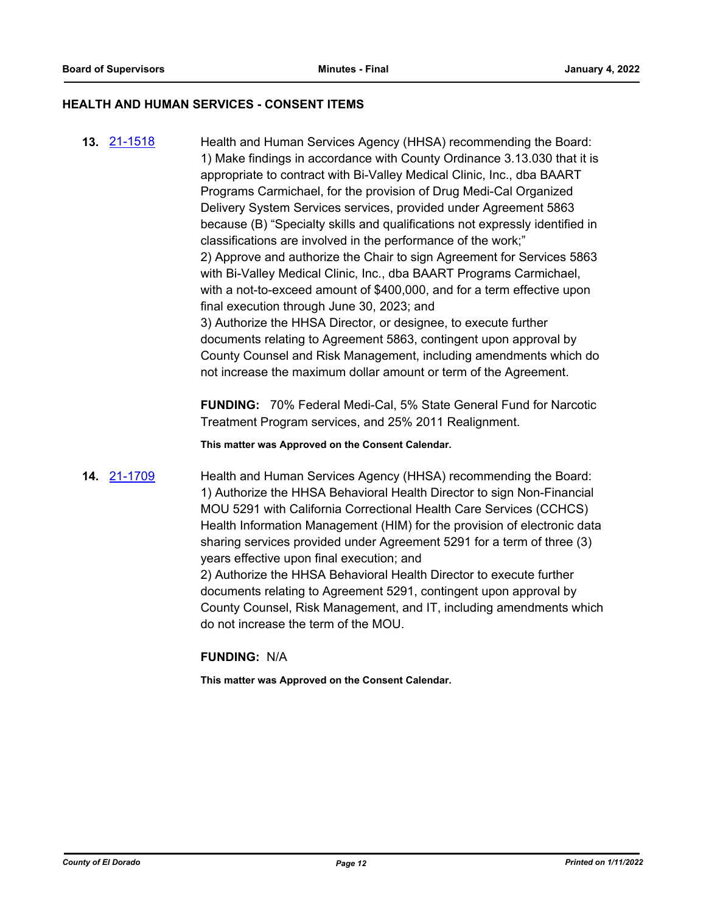#### **HEALTH AND HUMAN SERVICES - CONSENT ITEMS**

**13.** [21-1518](http://eldorado.legistar.com/gateway.aspx?m=l&id=/matter.aspx?key=30413) Health and Human Services Agency (HHSA) recommending the Board: 1) Make findings in accordance with County Ordinance 3.13.030 that it is appropriate to contract with Bi-Valley Medical Clinic, Inc., dba BAART Programs Carmichael, for the provision of Drug Medi-Cal Organized Delivery System Services services, provided under Agreement 5863 because (B) "Specialty skills and qualifications not expressly identified in classifications are involved in the performance of the work;" 2) Approve and authorize the Chair to sign Agreement for Services 5863 with Bi-Valley Medical Clinic, Inc., dba BAART Programs Carmichael, with a not-to-exceed amount of \$400,000, and for a term effective upon final execution through June 30, 2023; and 3) Authorize the HHSA Director, or designee, to execute further documents relating to Agreement 5863, contingent upon approval by County Counsel and Risk Management, including amendments which do not increase the maximum dollar amount or term of the Agreement.

> **FUNDING:** 70% Federal Medi-Cal, 5% State General Fund for Narcotic Treatment Program services, and 25% 2011 Realignment.

**This matter was Approved on the Consent Calendar.**

**14.** [21-1709](http://eldorado.legistar.com/gateway.aspx?m=l&id=/matter.aspx?key=30604) Health and Human Services Agency (HHSA) recommending the Board: 1) Authorize the HHSA Behavioral Health Director to sign Non-Financial MOU 5291 with California Correctional Health Care Services (CCHCS) Health Information Management (HIM) for the provision of electronic data sharing services provided under Agreement 5291 for a term of three (3) years effective upon final execution; and 2) Authorize the HHSA Behavioral Health Director to execute further documents relating to Agreement 5291, contingent upon approval by County Counsel, Risk Management, and IT, including amendments which do not increase the term of the MOU.

#### **FUNDING:** N/A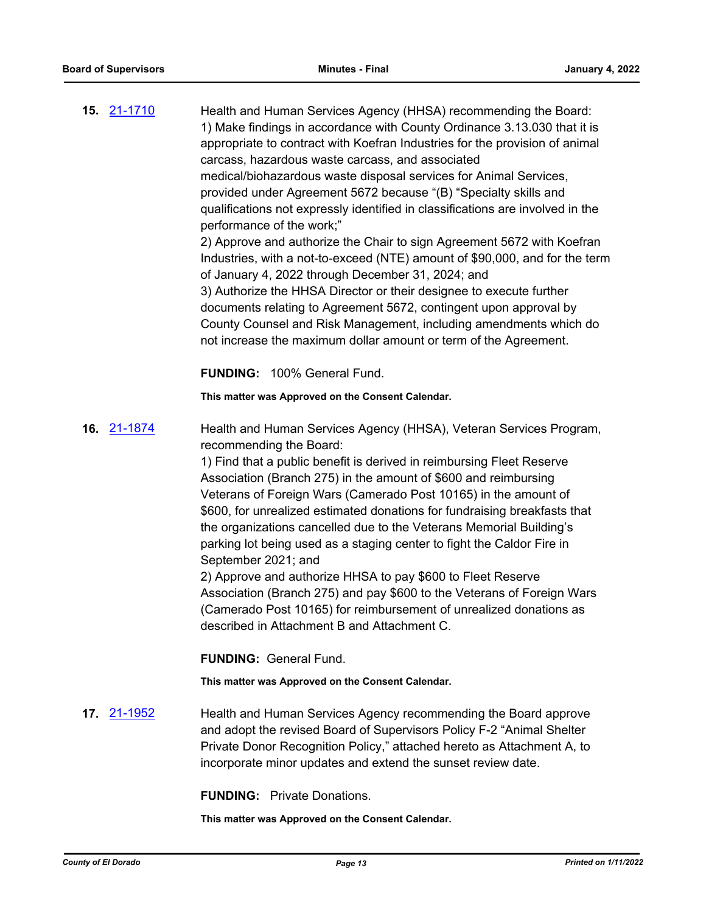| <b>15. 21-1710</b> | Health and Human Services Agency (HHSA) recommending the Board:<br>1) Make findings in accordance with County Ordinance 3.13.030 that it is<br>appropriate to contract with Koefran Industries for the provision of animal<br>carcass, hazardous waste carcass, and associated<br>medical/biohazardous waste disposal services for Animal Services,<br>provided under Agreement 5672 because "(B) "Specialty skills and<br>qualifications not expressly identified in classifications are involved in the<br>performance of the work;"<br>2) Approve and authorize the Chair to sign Agreement 5672 with Koefran<br>Industries, with a not-to-exceed (NTE) amount of \$90,000, and for the term<br>of January 4, 2022 through December 31, 2024; and<br>3) Authorize the HHSA Director or their designee to execute further<br>documents relating to Agreement 5672, contingent upon approval by<br>County Counsel and Risk Management, including amendments which do<br>not increase the maximum dollar amount or term of the Agreement. |
|--------------------|-------------------------------------------------------------------------------------------------------------------------------------------------------------------------------------------------------------------------------------------------------------------------------------------------------------------------------------------------------------------------------------------------------------------------------------------------------------------------------------------------------------------------------------------------------------------------------------------------------------------------------------------------------------------------------------------------------------------------------------------------------------------------------------------------------------------------------------------------------------------------------------------------------------------------------------------------------------------------------------------------------------------------------------------|
|                    | FUNDING: 100% General Fund.                                                                                                                                                                                                                                                                                                                                                                                                                                                                                                                                                                                                                                                                                                                                                                                                                                                                                                                                                                                                               |
|                    | This matter was Approved on the Consent Calendar.                                                                                                                                                                                                                                                                                                                                                                                                                                                                                                                                                                                                                                                                                                                                                                                                                                                                                                                                                                                         |
| 16. 21-1874        | Health and Human Services Agency (HHSA), Veteran Services Program,<br>recommending the Board:<br>1) Find that a public benefit is derived in reimbursing Fleet Reserve<br>Association (Branch 275) in the amount of \$600 and reimbursing<br>Veterans of Foreign Wars (Camerado Post 10165) in the amount of<br>\$600, for unrealized estimated donations for fundraising breakfasts that<br>the organizations cancelled due to the Veterans Memorial Building's<br>parking lot being used as a staging center to fight the Caldor Fire in<br>September 2021; and<br>2) Approve and authorize HHSA to pay \$600 to Fleet Reserve<br>Association (Branch 275) and pay \$600 to the Veterans of Foreign Wars<br>(Camerado Post 10165) for reimbursement of unrealized donations as<br>described in Attachment B and Attachment C.                                                                                                                                                                                                           |
|                    | <b>FUNDING: General Fund.</b>                                                                                                                                                                                                                                                                                                                                                                                                                                                                                                                                                                                                                                                                                                                                                                                                                                                                                                                                                                                                             |
|                    | This matter was Approved on the Consent Calendar.                                                                                                                                                                                                                                                                                                                                                                                                                                                                                                                                                                                                                                                                                                                                                                                                                                                                                                                                                                                         |
| <b>17.</b> 21-1952 | Health and Human Services Agency recommending the Board approve<br>and adopt the revised Board of Supervisors Policy F-2 "Animal Shelter<br>Private Donor Recognition Policy," attached hereto as Attachment A, to<br>incorporate minor updates and extend the sunset review date.                                                                                                                                                                                                                                                                                                                                                                                                                                                                                                                                                                                                                                                                                                                                                        |

**FUNDING:** Private Donations.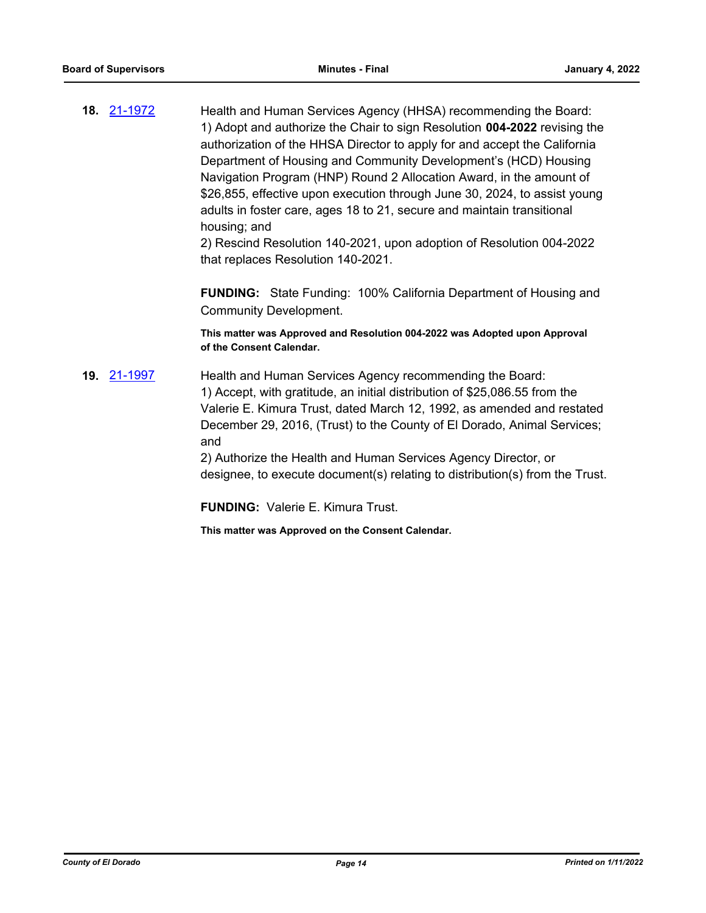**18.** [21-1972](http://eldorado.legistar.com/gateway.aspx?m=l&id=/matter.aspx?key=30868) Health and Human Services Agency (HHSA) recommending the Board: 1) Adopt and authorize the Chair to sign Resolution **004-2022** revising the authorization of the HHSA Director to apply for and accept the California Department of Housing and Community Development's (HCD) Housing Navigation Program (HNP) Round 2 Allocation Award, in the amount of \$26,855, effective upon execution through June 30, 2024, to assist young adults in foster care, ages 18 to 21, secure and maintain transitional housing; and

> 2) Rescind Resolution 140-2021, upon adoption of Resolution 004-2022 that replaces Resolution 140-2021.

**FUNDING:** State Funding: 100% California Department of Housing and Community Development.

**This matter was Approved and Resolution 004-2022 was Adopted upon Approval of the Consent Calendar.**

**19.** [21-1997](http://eldorado.legistar.com/gateway.aspx?m=l&id=/matter.aspx?key=30893) Health and Human Services Agency recommending the Board: 1) Accept, with gratitude, an initial distribution of \$25,086.55 from the Valerie E. Kimura Trust, dated March 12, 1992, as amended and restated December 29, 2016, (Trust) to the County of El Dorado, Animal Services; and

2) Authorize the Health and Human Services Agency Director, or designee, to execute document(s) relating to distribution(s) from the Trust.

**FUNDING:** Valerie E. Kimura Trust.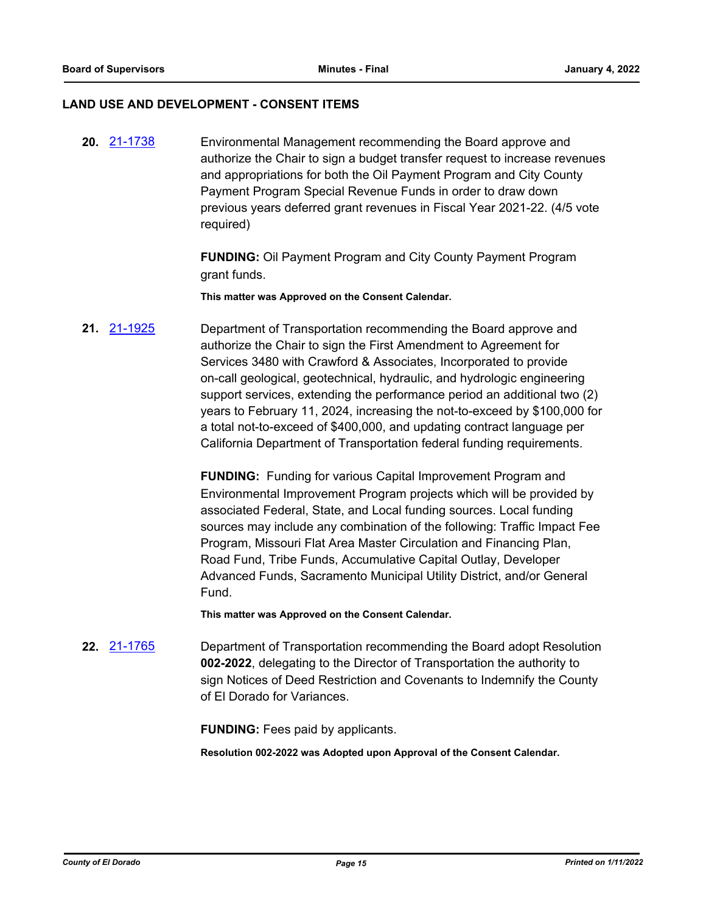#### **LAND USE AND DEVELOPMENT - CONSENT ITEMS**

**20.** [21-1738](http://eldorado.legistar.com/gateway.aspx?m=l&id=/matter.aspx?key=30633) Environmental Management recommending the Board approve and authorize the Chair to sign a budget transfer request to increase revenues and appropriations for both the Oil Payment Program and City County Payment Program Special Revenue Funds in order to draw down previous years deferred grant revenues in Fiscal Year 2021-22. (4/5 vote required)

> **FUNDING:** Oil Payment Program and City County Payment Program grant funds.

**This matter was Approved on the Consent Calendar.**

**21.** [21-1925](http://eldorado.legistar.com/gateway.aspx?m=l&id=/matter.aspx?key=30821) Department of Transportation recommending the Board approve and authorize the Chair to sign the First Amendment to Agreement for Services 3480 with Crawford & Associates, Incorporated to provide on-call geological, geotechnical, hydraulic, and hydrologic engineering support services, extending the performance period an additional two (2) years to February 11, 2024, increasing the not-to-exceed by \$100,000 for a total not-to-exceed of \$400,000, and updating contract language per California Department of Transportation federal funding requirements.

> **FUNDING:** Funding for various Capital Improvement Program and Environmental Improvement Program projects which will be provided by associated Federal, State, and Local funding sources. Local funding sources may include any combination of the following: Traffic Impact Fee Program, Missouri Flat Area Master Circulation and Financing Plan, Road Fund, Tribe Funds, Accumulative Capital Outlay, Developer Advanced Funds, Sacramento Municipal Utility District, and/or General Fund.

**This matter was Approved on the Consent Calendar.**

**22.** [21-1765](http://eldorado.legistar.com/gateway.aspx?m=l&id=/matter.aspx?key=30661) Department of Transportation recommending the Board adopt Resolution **002-2022**, delegating to the Director of Transportation the authority to sign Notices of Deed Restriction and Covenants to Indemnify the County of El Dorado for Variances.

**FUNDING:** Fees paid by applicants.

**Resolution 002-2022 was Adopted upon Approval of the Consent Calendar.**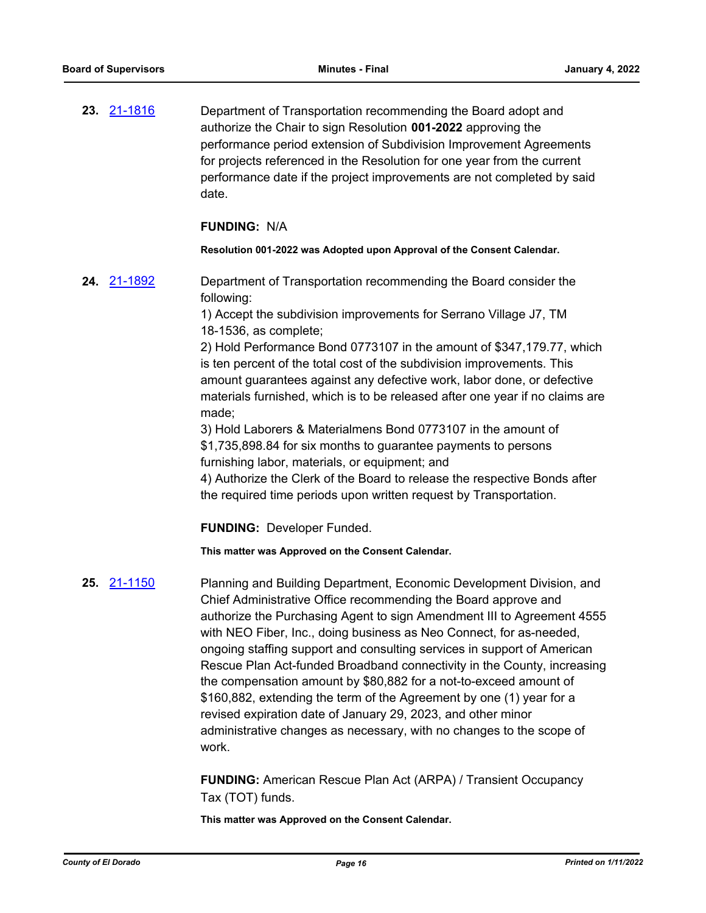**23.** [21-1816](http://eldorado.legistar.com/gateway.aspx?m=l&id=/matter.aspx?key=30712) Department of Transportation recommending the Board adopt and authorize the Chair to sign Resolution **001-2022** approving the performance period extension of Subdivision Improvement Agreements for projects referenced in the Resolution for one year from the current performance date if the project improvements are not completed by said date.

## **FUNDING:** N/A

#### **Resolution 001-2022 was Adopted upon Approval of the Consent Calendar.**

**24.** [21-1892](http://eldorado.legistar.com/gateway.aspx?m=l&id=/matter.aspx?key=30788) Department of Transportation recommending the Board consider the following:

> 1) Accept the subdivision improvements for Serrano Village J7, TM 18-1536, as complete;

2) Hold Performance Bond 0773107 in the amount of \$347,179.77, which is ten percent of the total cost of the subdivision improvements. This amount guarantees against any defective work, labor done, or defective materials furnished, which is to be released after one year if no claims are made;

3) Hold Laborers & Materialmens Bond 0773107 in the amount of \$1,735,898.84 for six months to guarantee payments to persons furnishing labor, materials, or equipment; and

4) Authorize the Clerk of the Board to release the respective Bonds after the required time periods upon written request by Transportation.

**FUNDING:** Developer Funded.

**This matter was Approved on the Consent Calendar.**

**25.** [21-1150](http://eldorado.legistar.com/gateway.aspx?m=l&id=/matter.aspx?key=30045) Planning and Building Department, Economic Development Division, and Chief Administrative Office recommending the Board approve and authorize the Purchasing Agent to sign Amendment III to Agreement 4555 with NEO Fiber, Inc., doing business as Neo Connect, for as-needed, ongoing staffing support and consulting services in support of American Rescue Plan Act-funded Broadband connectivity in the County, increasing the compensation amount by \$80,882 for a not-to-exceed amount of \$160,882, extending the term of the Agreement by one (1) year for a revised expiration date of January 29, 2023, and other minor administrative changes as necessary, with no changes to the scope of work.

> **FUNDING:** American Rescue Plan Act (ARPA) / Transient Occupancy Tax (TOT) funds.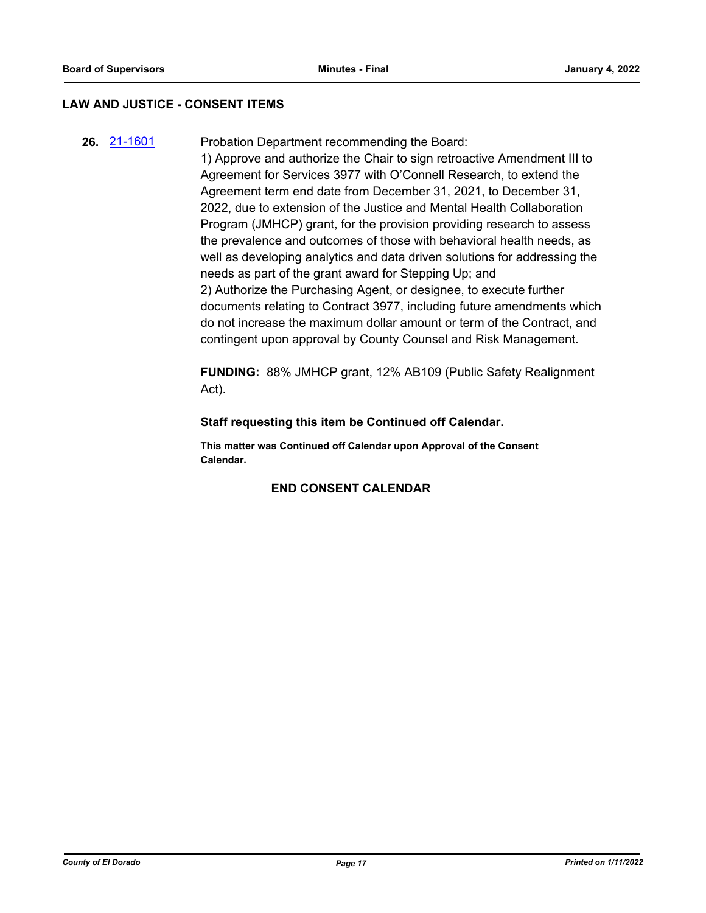# **LAW AND JUSTICE - CONSENT ITEMS**

**26.** [21-1601](http://eldorado.legistar.com/gateway.aspx?m=l&id=/matter.aspx?key=30496) Probation Department recommending the Board: 1) Approve and authorize the Chair to sign retroactive Amendment III to Agreement for Services 3977 with O'Connell Research, to extend the Agreement term end date from December 31, 2021, to December 31, 2022, due to extension of the Justice and Mental Health Collaboration Program (JMHCP) grant, for the provision providing research to assess the prevalence and outcomes of those with behavioral health needs, as well as developing analytics and data driven solutions for addressing the needs as part of the grant award for Stepping Up; and 2) Authorize the Purchasing Agent, or designee, to execute further documents relating to Contract 3977, including future amendments which do not increase the maximum dollar amount or term of the Contract, and

> **FUNDING:** 88% JMHCP grant, 12% AB109 (Public Safety Realignment Act).

contingent upon approval by County Counsel and Risk Management.

# **Staff requesting this item be Continued off Calendar.**

**This matter was Continued off Calendar upon Approval of the Consent Calendar.**

# **END CONSENT CALENDAR**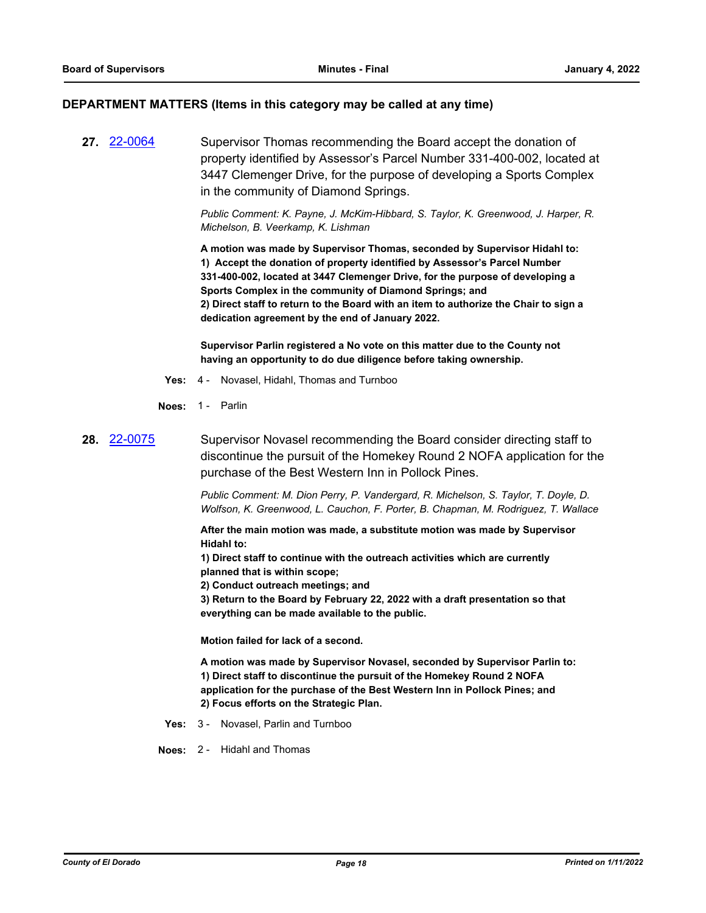#### **DEPARTMENT MATTERS (Items in this category may be called at any time)**

**27.** [22-0064](http://eldorado.legistar.com/gateway.aspx?m=l&id=/matter.aspx?key=30964) Supervisor Thomas recommending the Board accept the donation of property identified by Assessor's Parcel Number 331-400-002, located at 3447 Clemenger Drive, for the purpose of developing a Sports Complex in the community of Diamond Springs.

> *Public Comment: K. Payne, J. McKim-Hibbard, S. Taylor, K. Greenwood, J. Harper, R. Michelson, B. Veerkamp, K. Lishman*

**A motion was made by Supervisor Thomas, seconded by Supervisor Hidahl to: 1) Accept the donation of property identified by Assessor's Parcel Number 331-400-002, located at 3447 Clemenger Drive, for the purpose of developing a Sports Complex in the community of Diamond Springs; and 2) Direct staff to return to the Board with an item to authorize the Chair to sign a dedication agreement by the end of January 2022.**

**Supervisor Parlin registered a No vote on this matter due to the County not having an opportunity to do due diligence before taking ownership.**

- **Yes:** 4 Novasel, Hidahl, Thomas and Turnboo
- **Noes:** 1 Parlin

# **28.** [22-0075](http://eldorado.legistar.com/gateway.aspx?m=l&id=/matter.aspx?key=30975) Supervisor Novasel recommending the Board consider directing staff to discontinue the pursuit of the Homekey Round 2 NOFA application for the purchase of the Best Western Inn in Pollock Pines.

*Public Comment: M. Dion Perry, P. Vandergard, R. Michelson, S. Taylor, T. Doyle, D. Wolfson, K. Greenwood, L. Cauchon, F. Porter, B. Chapman, M. Rodriguez, T. Wallace*

**After the main motion was made, a substitute motion was made by Supervisor Hidahl to:**

**1) Direct staff to continue with the outreach activities which are currently planned that is within scope;**

**2) Conduct outreach meetings; and** 

**3) Return to the Board by February 22, 2022 with a draft presentation so that everything can be made available to the public.**

**Motion failed for lack of a second.**

**A motion was made by Supervisor Novasel, seconded by Supervisor Parlin to: 1) Direct staff to discontinue the pursuit of the Homekey Round 2 NOFA application for the purchase of the Best Western Inn in Pollock Pines; and 2) Focus efforts on the Strategic Plan.**

**Yes:** 3 - Novasel, Parlin and Turnboo

**Noes:** 2 - Hidahl and Thomas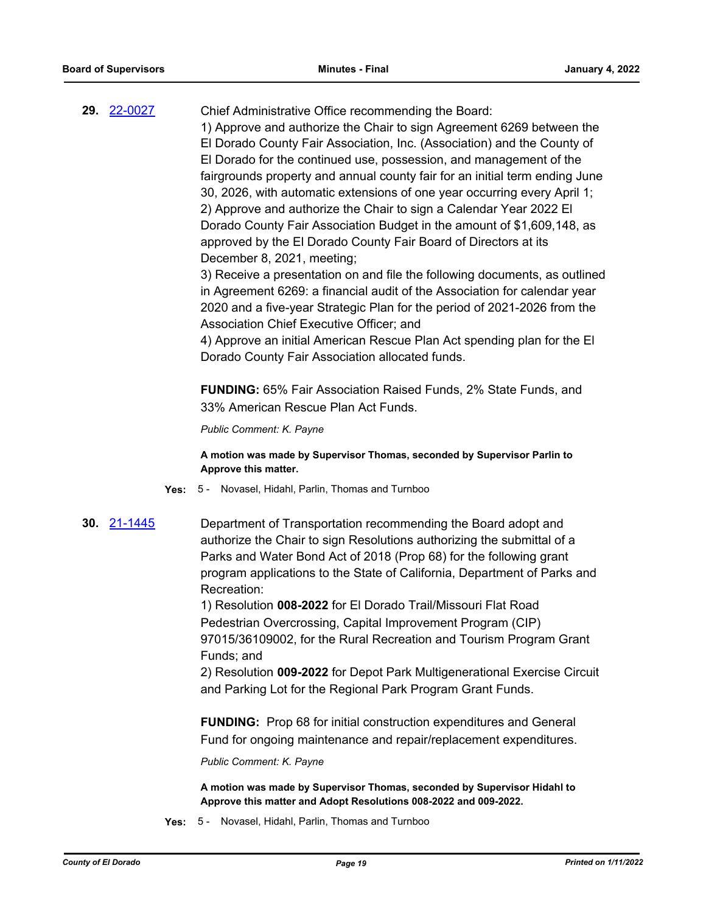| 29. 22-0027 | Chief Administrative Office recommending the Board:                         |
|-------------|-----------------------------------------------------------------------------|
|             | 1) Approve and authorize the Chair to sign Agreement 6269 between the       |
|             | El Dorado County Fair Association, Inc. (Association) and the County of     |
|             | El Dorado for the continued use, possession, and management of the          |
|             | fairgrounds property and annual county fair for an initial term ending June |
|             | 30, 2026, with automatic extensions of one year occurring every April 1;    |
|             | 2) Approve and authorize the Chair to sign a Calendar Year 2022 El          |
|             | Dorado County Fair Association Budget in the amount of \$1,609,148, as      |
|             | approved by the El Dorado County Fair Board of Directors at its             |
|             | December 8, 2021, meeting;                                                  |
|             | 3) Peceive a presentation on and file the following documents as outlined   |

3) Receive a presentation on and file the following documents, as outlined in Agreement 6269: a financial audit of the Association for calendar year 2020 and a five-year Strategic Plan for the period of 2021-2026 from the Association Chief Executive Officer; and

4) Approve an initial American Rescue Plan Act spending plan for the El Dorado County Fair Association allocated funds.

**FUNDING:** 65% Fair Association Raised Funds, 2% State Funds, and 33% American Rescue Plan Act Funds.

*Public Comment: K. Payne*

**A motion was made by Supervisor Thomas, seconded by Supervisor Parlin to Approve this matter.**

- **Yes:** 5 Novasel, Hidahl, Parlin, Thomas and Turnboo
- **30.** [21-1445](http://eldorado.legistar.com/gateway.aspx?m=l&id=/matter.aspx?key=30340) Department of Transportation recommending the Board adopt and authorize the Chair to sign Resolutions authorizing the submittal of a Parks and Water Bond Act of 2018 (Prop 68) for the following grant program applications to the State of California, Department of Parks and Recreation:

1) Resolution **008-2022** for El Dorado Trail/Missouri Flat Road Pedestrian Overcrossing, Capital Improvement Program (CIP) 97015/36109002, for the Rural Recreation and Tourism Program Grant Funds; and

2) Resolution **009-2022** for Depot Park Multigenerational Exercise Circuit and Parking Lot for the Regional Park Program Grant Funds.

**FUNDING:** Prop 68 for initial construction expenditures and General Fund for ongoing maintenance and repair/replacement expenditures.

*Public Comment: K. Payne*

**A motion was made by Supervisor Thomas, seconded by Supervisor Hidahl to Approve this matter and Adopt Resolutions 008-2022 and 009-2022.**

**Yes:** 5 - Novasel, Hidahl, Parlin, Thomas and Turnboo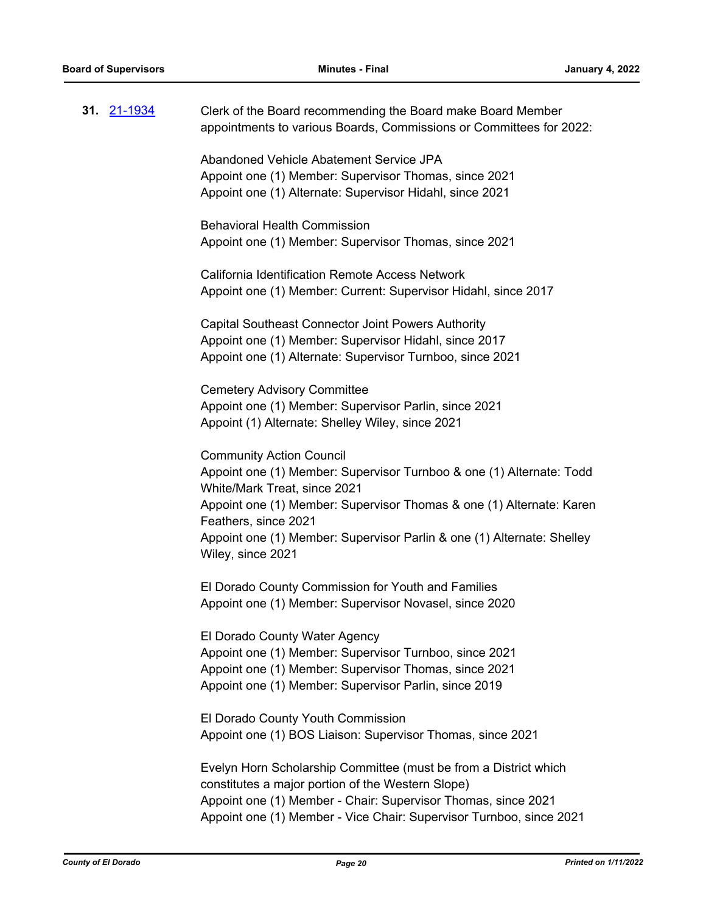|  | Clerk of the Board recommending the Board make Board Member<br>appointments to various Boards, Commissions or Committees for 2022:                                                                        |
|--|-----------------------------------------------------------------------------------------------------------------------------------------------------------------------------------------------------------|
|  | Abandoned Vehicle Abatement Service JPA<br>Appoint one (1) Member: Supervisor Thomas, since 2021<br>Appoint one (1) Alternate: Supervisor Hidahl, since 2021                                              |
|  | <b>Behavioral Health Commission</b><br>Appoint one (1) Member: Supervisor Thomas, since 2021                                                                                                              |
|  | California Identification Remote Access Network<br>Appoint one (1) Member: Current: Supervisor Hidahl, since 2017                                                                                         |
|  | <b>Capital Southeast Connector Joint Powers Authority</b><br>Appoint one (1) Member: Supervisor Hidahl, since 2017<br>Appoint one (1) Alternate: Supervisor Turnboo, since 2021                           |
|  | <b>Cemetery Advisory Committee</b><br>Appoint one (1) Member: Supervisor Parlin, since 2021<br>Appoint (1) Alternate: Shelley Wiley, since 2021                                                           |
|  | <b>Community Action Council</b><br>Appoint one (1) Member: Supervisor Turnboo & one (1) Alternate: Todd<br>White/Mark Treat, since 2021                                                                   |
|  | Appoint one (1) Member: Supervisor Thomas & one (1) Alternate: Karen<br>Feathers, since 2021<br>Appoint one (1) Member: Supervisor Parlin & one (1) Alternate: Shelley<br>Wiley, since 2021               |
|  | El Dorado County Commission for Youth and Families<br>Appoint one (1) Member: Supervisor Novasel, since 2020                                                                                              |
|  | El Dorado County Water Agency<br>Appoint one (1) Member: Supervisor Turnboo, since 2021<br>Appoint one (1) Member: Supervisor Thomas, since 2021<br>Appoint one (1) Member: Supervisor Parlin, since 2019 |
|  | El Dorado County Youth Commission<br>Appoint one (1) BOS Liaison: Supervisor Thomas, since 2021                                                                                                           |
|  | Evelyn Horn Scholarship Committee (must be from a District which<br>constitutes a major portion of the Western Slope)<br>Appoint one (1) Member - Chair: Supervisor Thomas, since 2021                    |
|  | Appoint one (1) Member - Vice Chair: Supervisor Turnboo, since 2021                                                                                                                                       |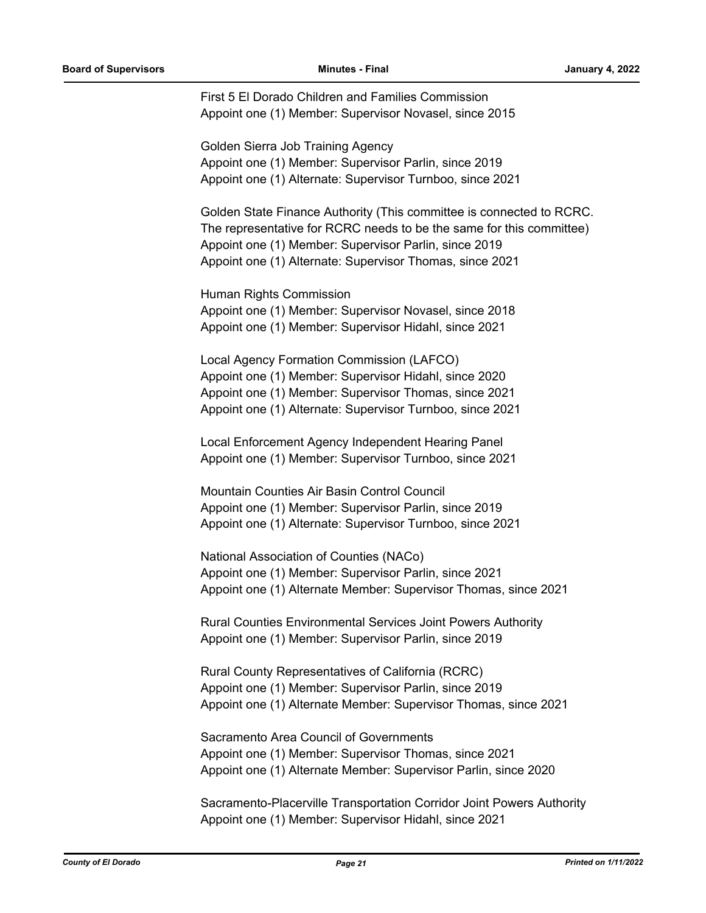First 5 El Dorado Children and Families Commission Appoint one (1) Member: Supervisor Novasel, since 2015

Golden Sierra Job Training Agency Appoint one (1) Member: Supervisor Parlin, since 2019 Appoint one (1) Alternate: Supervisor Turnboo, since 2021

Golden State Finance Authority (This committee is connected to RCRC. The representative for RCRC needs to be the same for this committee) Appoint one (1) Member: Supervisor Parlin, since 2019 Appoint one (1) Alternate: Supervisor Thomas, since 2021

Human Rights Commission Appoint one (1) Member: Supervisor Novasel, since 2018 Appoint one (1) Member: Supervisor Hidahl, since 2021

Local Agency Formation Commission (LAFCO) Appoint one (1) Member: Supervisor Hidahl, since 2020 Appoint one (1) Member: Supervisor Thomas, since 2021 Appoint one (1) Alternate: Supervisor Turnboo, since 2021

Local Enforcement Agency Independent Hearing Panel Appoint one (1) Member: Supervisor Turnboo, since 2021

Mountain Counties Air Basin Control Council Appoint one (1) Member: Supervisor Parlin, since 2019 Appoint one (1) Alternate: Supervisor Turnboo, since 2021

National Association of Counties (NACo) Appoint one (1) Member: Supervisor Parlin, since 2021 Appoint one (1) Alternate Member: Supervisor Thomas, since 2021

Rural Counties Environmental Services Joint Powers Authority Appoint one (1) Member: Supervisor Parlin, since 2019

Rural County Representatives of California (RCRC) Appoint one (1) Member: Supervisor Parlin, since 2019 Appoint one (1) Alternate Member: Supervisor Thomas, since 2021

Sacramento Area Council of Governments Appoint one (1) Member: Supervisor Thomas, since 2021 Appoint one (1) Alternate Member: Supervisor Parlin, since 2020

Sacramento-Placerville Transportation Corridor Joint Powers Authority Appoint one (1) Member: Supervisor Hidahl, since 2021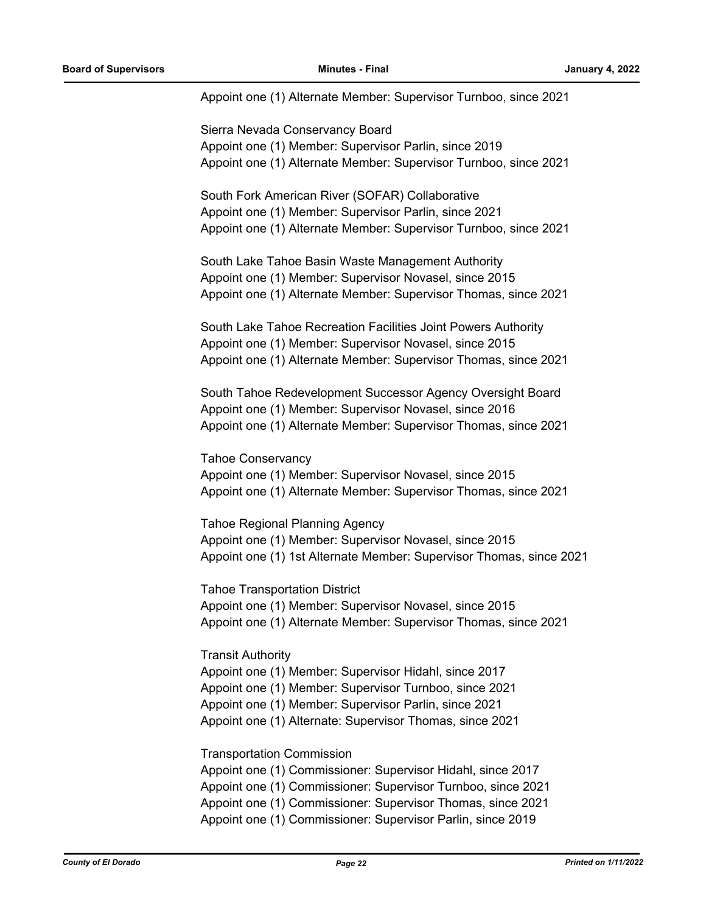Appoint one (1) Alternate Member: Supervisor Turnboo, since 2021

Sierra Nevada Conservancy Board Appoint one (1) Member: Supervisor Parlin, since 2019 Appoint one (1) Alternate Member: Supervisor Turnboo, since 2021

South Fork American River (SOFAR) Collaborative Appoint one (1) Member: Supervisor Parlin, since 2021 Appoint one (1) Alternate Member: Supervisor Turnboo, since 2021

South Lake Tahoe Basin Waste Management Authority Appoint one (1) Member: Supervisor Novasel, since 2015 Appoint one (1) Alternate Member: Supervisor Thomas, since 2021

South Lake Tahoe Recreation Facilities Joint Powers Authority Appoint one (1) Member: Supervisor Novasel, since 2015 Appoint one (1) Alternate Member: Supervisor Thomas, since 2021

South Tahoe Redevelopment Successor Agency Oversight Board Appoint one (1) Member: Supervisor Novasel, since 2016 Appoint one (1) Alternate Member: Supervisor Thomas, since 2021

Tahoe Conservancy Appoint one (1) Member: Supervisor Novasel, since 2015 Appoint one (1) Alternate Member: Supervisor Thomas, since 2021

Tahoe Regional Planning Agency Appoint one (1) Member: Supervisor Novasel, since 2015 Appoint one (1) 1st Alternate Member: Supervisor Thomas, since 2021

Tahoe Transportation District Appoint one (1) Member: Supervisor Novasel, since 2015 Appoint one (1) Alternate Member: Supervisor Thomas, since 2021

Transit Authority

Appoint one (1) Member: Supervisor Hidahl, since 2017 Appoint one (1) Member: Supervisor Turnboo, since 2021 Appoint one (1) Member: Supervisor Parlin, since 2021 Appoint one (1) Alternate: Supervisor Thomas, since 2021

Transportation Commission

Appoint one (1) Commissioner: Supervisor Hidahl, since 2017 Appoint one (1) Commissioner: Supervisor Turnboo, since 2021 Appoint one (1) Commissioner: Supervisor Thomas, since 2021 Appoint one (1) Commissioner: Supervisor Parlin, since 2019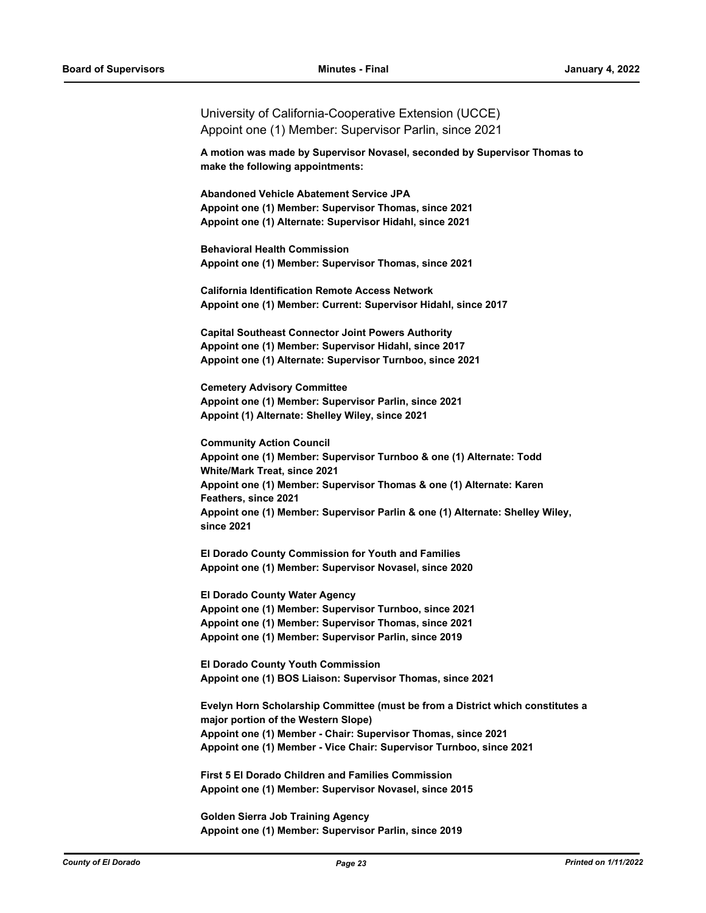University of California-Cooperative Extension (UCCE) Appoint one (1) Member: Supervisor Parlin, since 2021

**A motion was made by Supervisor Novasel, seconded by Supervisor Thomas to make the following appointments:**

**Abandoned Vehicle Abatement Service JPA Appoint one (1) Member: Supervisor Thomas, since 2021 Appoint one (1) Alternate: Supervisor Hidahl, since 2021**

**Behavioral Health Commission Appoint one (1) Member: Supervisor Thomas, since 2021**

**California Identification Remote Access Network Appoint one (1) Member: Current: Supervisor Hidahl, since 2017**

**Capital Southeast Connector Joint Powers Authority Appoint one (1) Member: Supervisor Hidahl, since 2017 Appoint one (1) Alternate: Supervisor Turnboo, since 2021**

**Cemetery Advisory Committee Appoint one (1) Member: Supervisor Parlin, since 2021 Appoint (1) Alternate: Shelley Wiley, since 2021**

**Community Action Council Appoint one (1) Member: Supervisor Turnboo & one (1) Alternate: Todd White/Mark Treat, since 2021 Appoint one (1) Member: Supervisor Thomas & one (1) Alternate: Karen Feathers, since 2021 Appoint one (1) Member: Supervisor Parlin & one (1) Alternate: Shelley Wiley, since 2021**

**El Dorado County Commission for Youth and Families Appoint one (1) Member: Supervisor Novasel, since 2020**

**El Dorado County Water Agency Appoint one (1) Member: Supervisor Turnboo, since 2021 Appoint one (1) Member: Supervisor Thomas, since 2021 Appoint one (1) Member: Supervisor Parlin, since 2019**

**El Dorado County Youth Commission Appoint one (1) BOS Liaison: Supervisor Thomas, since 2021**

**Evelyn Horn Scholarship Committee (must be from a District which constitutes a major portion of the Western Slope) Appoint one (1) Member - Chair: Supervisor Thomas, since 2021 Appoint one (1) Member - Vice Chair: Supervisor Turnboo, since 2021**

**First 5 El Dorado Children and Families Commission Appoint one (1) Member: Supervisor Novasel, since 2015**

**Golden Sierra Job Training Agency Appoint one (1) Member: Supervisor Parlin, since 2019**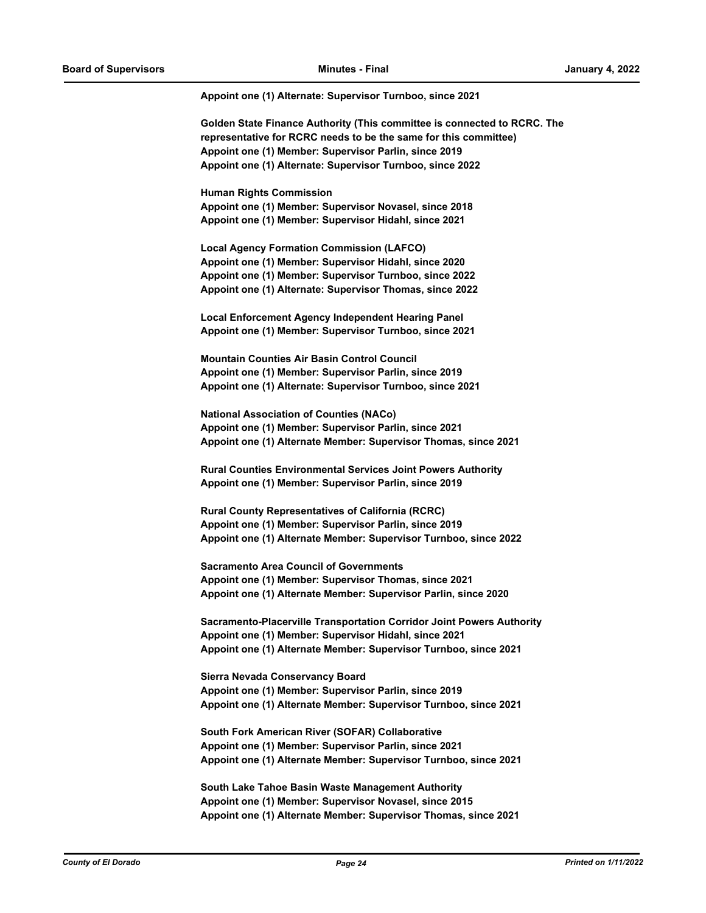#### **Appoint one (1) Alternate: Supervisor Turnboo, since 2021**

**Golden State Finance Authority (This committee is connected to RCRC. The representative for RCRC needs to be the same for this committee) Appoint one (1) Member: Supervisor Parlin, since 2019 Appoint one (1) Alternate: Supervisor Turnboo, since 2022**

**Human Rights Commission Appoint one (1) Member: Supervisor Novasel, since 2018 Appoint one (1) Member: Supervisor Hidahl, since 2021**

**Local Agency Formation Commission (LAFCO) Appoint one (1) Member: Supervisor Hidahl, since 2020 Appoint one (1) Member: Supervisor Turnboo, since 2022 Appoint one (1) Alternate: Supervisor Thomas, since 2022**

**Local Enforcement Agency Independent Hearing Panel Appoint one (1) Member: Supervisor Turnboo, since 2021**

**Mountain Counties Air Basin Control Council Appoint one (1) Member: Supervisor Parlin, since 2019 Appoint one (1) Alternate: Supervisor Turnboo, since 2021**

**National Association of Counties (NACo) Appoint one (1) Member: Supervisor Parlin, since 2021 Appoint one (1) Alternate Member: Supervisor Thomas, since 2021**

**Rural Counties Environmental Services Joint Powers Authority Appoint one (1) Member: Supervisor Parlin, since 2019**

**Rural County Representatives of California (RCRC) Appoint one (1) Member: Supervisor Parlin, since 2019 Appoint one (1) Alternate Member: Supervisor Turnboo, since 2022**

**Sacramento Area Council of Governments Appoint one (1) Member: Supervisor Thomas, since 2021 Appoint one (1) Alternate Member: Supervisor Parlin, since 2020**

**Sacramento-Placerville Transportation Corridor Joint Powers Authority Appoint one (1) Member: Supervisor Hidahl, since 2021 Appoint one (1) Alternate Member: Supervisor Turnboo, since 2021**

**Sierra Nevada Conservancy Board Appoint one (1) Member: Supervisor Parlin, since 2019 Appoint one (1) Alternate Member: Supervisor Turnboo, since 2021**

**South Fork American River (SOFAR) Collaborative Appoint one (1) Member: Supervisor Parlin, since 2021 Appoint one (1) Alternate Member: Supervisor Turnboo, since 2021**

**South Lake Tahoe Basin Waste Management Authority Appoint one (1) Member: Supervisor Novasel, since 2015 Appoint one (1) Alternate Member: Supervisor Thomas, since 2021**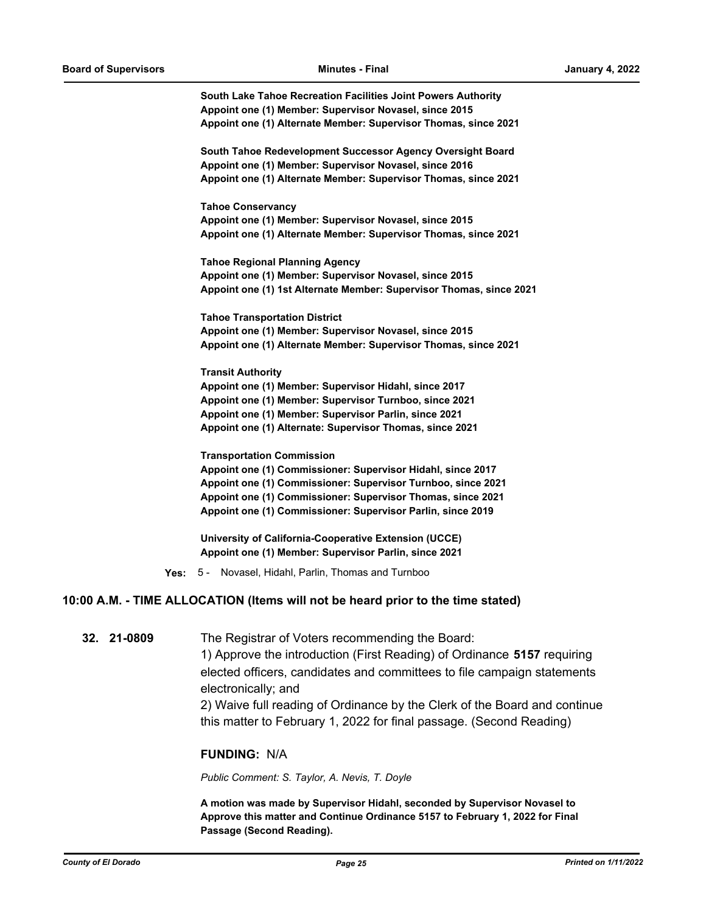**South Lake Tahoe Recreation Facilities Joint Powers Authority Appoint one (1) Member: Supervisor Novasel, since 2015 Appoint one (1) Alternate Member: Supervisor Thomas, since 2021**

**South Tahoe Redevelopment Successor Agency Oversight Board Appoint one (1) Member: Supervisor Novasel, since 2016 Appoint one (1) Alternate Member: Supervisor Thomas, since 2021**

**Tahoe Conservancy Appoint one (1) Member: Supervisor Novasel, since 2015 Appoint one (1) Alternate Member: Supervisor Thomas, since 2021**

**Tahoe Regional Planning Agency Appoint one (1) Member: Supervisor Novasel, since 2015 Appoint one (1) 1st Alternate Member: Supervisor Thomas, since 2021**

**Tahoe Transportation District Appoint one (1) Member: Supervisor Novasel, since 2015 Appoint one (1) Alternate Member: Supervisor Thomas, since 2021**

**Transit Authority Appoint one (1) Member: Supervisor Hidahl, since 2017 Appoint one (1) Member: Supervisor Turnboo, since 2021 Appoint one (1) Member: Supervisor Parlin, since 2021 Appoint one (1) Alternate: Supervisor Thomas, since 2021**

**Transportation Commission**

**Appoint one (1) Commissioner: Supervisor Hidahl, since 2017 Appoint one (1) Commissioner: Supervisor Turnboo, since 2021 Appoint one (1) Commissioner: Supervisor Thomas, since 2021 Appoint one (1) Commissioner: Supervisor Parlin, since 2019**

**University of California-Cooperative Extension (UCCE) Appoint one (1) Member: Supervisor Parlin, since 2021**

**Yes:** 5 - Novasel, Hidahl, Parlin, Thomas and Turnboo

#### **10:00 A.M. - TIME ALLOCATION (Items will not be heard prior to the time stated)**

**32. 21-0809** The Registrar of Voters recommending the Board:

1) Approve the introduction (First Reading) of Ordinance **5157** requiring elected officers, candidates and committees to file campaign statements electronically; and

2) Waive full reading of Ordinance by the Clerk of the Board and continue this matter to February 1, 2022 for final passage. (Second Reading)

#### **FUNDING:** N/A

*Public Comment: S. Taylor, A. Nevis, T. Doyle*

**A motion was made by Supervisor Hidahl, seconded by Supervisor Novasel to Approve this matter and Continue Ordinance 5157 to February 1, 2022 for Final Passage (Second Reading).**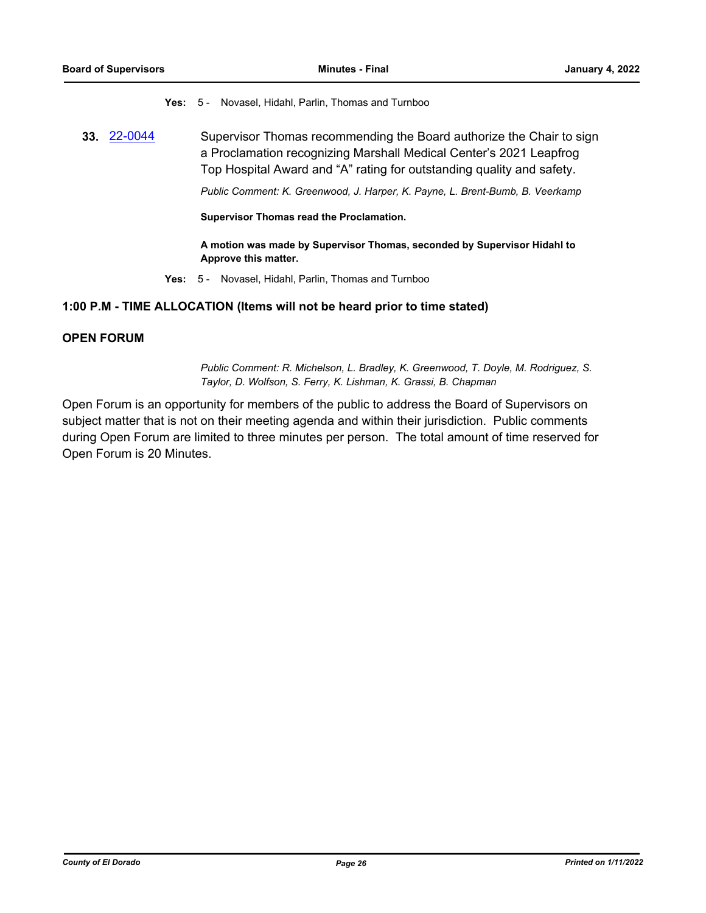**Yes:** 5 - Novasel, Hidahl, Parlin, Thomas and Turnboo

**33.** [22-0044](http://eldorado.legistar.com/gateway.aspx?m=l&id=/matter.aspx?key=30944) Supervisor Thomas recommending the Board authorize the Chair to sign a Proclamation recognizing Marshall Medical Center's 2021 Leapfrog Top Hospital Award and "A" rating for outstanding quality and safety.

*Public Comment: K. Greenwood, J. Harper, K. Payne, L. Brent-Bumb, B. Veerkamp*

**Supervisor Thomas read the Proclamation.**

**A motion was made by Supervisor Thomas, seconded by Supervisor Hidahl to Approve this matter.**

**Yes:** 5 - Novasel, Hidahl, Parlin, Thomas and Turnboo

# **1:00 P.M - TIME ALLOCATION (Items will not be heard prior to time stated)**

# **OPEN FORUM**

*Public Comment: R. Michelson, L. Bradley, K. Greenwood, T. Doyle, M. Rodriguez, S. Taylor, D. Wolfson, S. Ferry, K. Lishman, K. Grassi, B. Chapman*

Open Forum is an opportunity for members of the public to address the Board of Supervisors on subject matter that is not on their meeting agenda and within their jurisdiction. Public comments during Open Forum are limited to three minutes per person. The total amount of time reserved for Open Forum is 20 Minutes.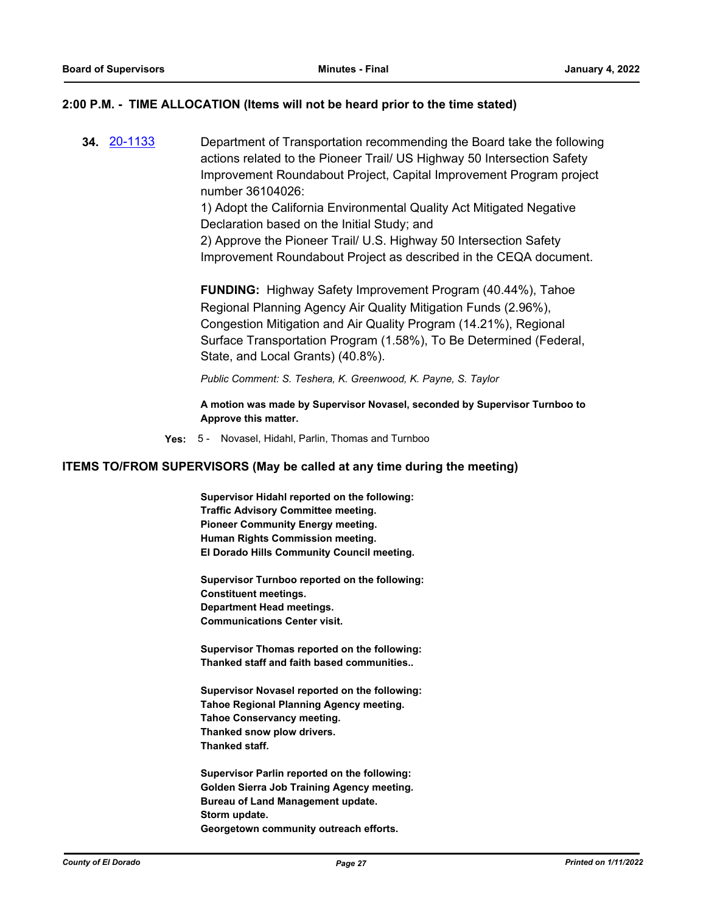# **2:00 P.M. - TIME ALLOCATION (Items will not be heard prior to the time stated)**

**34.** [20-1133](http://eldorado.legistar.com/gateway.aspx?m=l&id=/matter.aspx?key=28341) Department of Transportation recommending the Board take the following actions related to the Pioneer Trail/ US Highway 50 Intersection Safety Improvement Roundabout Project, Capital Improvement Program project number 36104026:

> 1) Adopt the California Environmental Quality Act Mitigated Negative Declaration based on the Initial Study; and

2) Approve the Pioneer Trail/ U.S. Highway 50 Intersection Safety Improvement Roundabout Project as described in the CEQA document.

**FUNDING:** Highway Safety Improvement Program (40.44%), Tahoe Regional Planning Agency Air Quality Mitigation Funds (2.96%), Congestion Mitigation and Air Quality Program (14.21%), Regional Surface Transportation Program (1.58%), To Be Determined (Federal, State, and Local Grants) (40.8%).

*Public Comment: S. Teshera, K. Greenwood, K. Payne, S. Taylor*

**A motion was made by Supervisor Novasel, seconded by Supervisor Turnboo to Approve this matter.**

**Yes:** 5 - Novasel, Hidahl, Parlin, Thomas and Turnboo

#### **ITEMS TO/FROM SUPERVISORS (May be called at any time during the meeting)**

**Supervisor Hidahl reported on the following: Traffic Advisory Committee meeting. Pioneer Community Energy meeting. Human Rights Commission meeting. El Dorado Hills Community Council meeting.**

**Supervisor Turnboo reported on the following: Constituent meetings. Department Head meetings. Communications Center visit.**

**Supervisor Thomas reported on the following: Thanked staff and faith based communities..**

**Supervisor Novasel reported on the following: Tahoe Regional Planning Agency meeting. Tahoe Conservancy meeting. Thanked snow plow drivers. Thanked staff.**

**Supervisor Parlin reported on the following: Golden Sierra Job Training Agency meeting. Bureau of Land Management update. Storm update. Georgetown community outreach efforts.**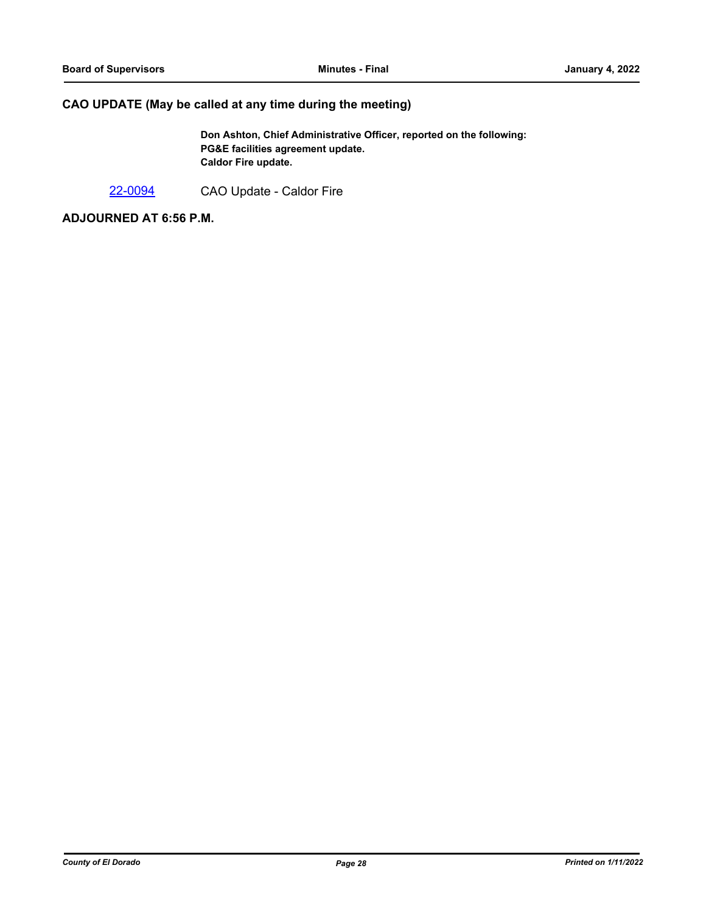# **CAO UPDATE (May be called at any time during the meeting)**

**Don Ashton, Chief Administrative Officer, reported on the following: PG&E facilities agreement update. Caldor Fire update.**

[22-0094](http://eldorado.legistar.com/gateway.aspx?m=l&id=/matter.aspx?key=30994) CAO Update - Caldor Fire

**ADJOURNED AT 6:56 P.M.**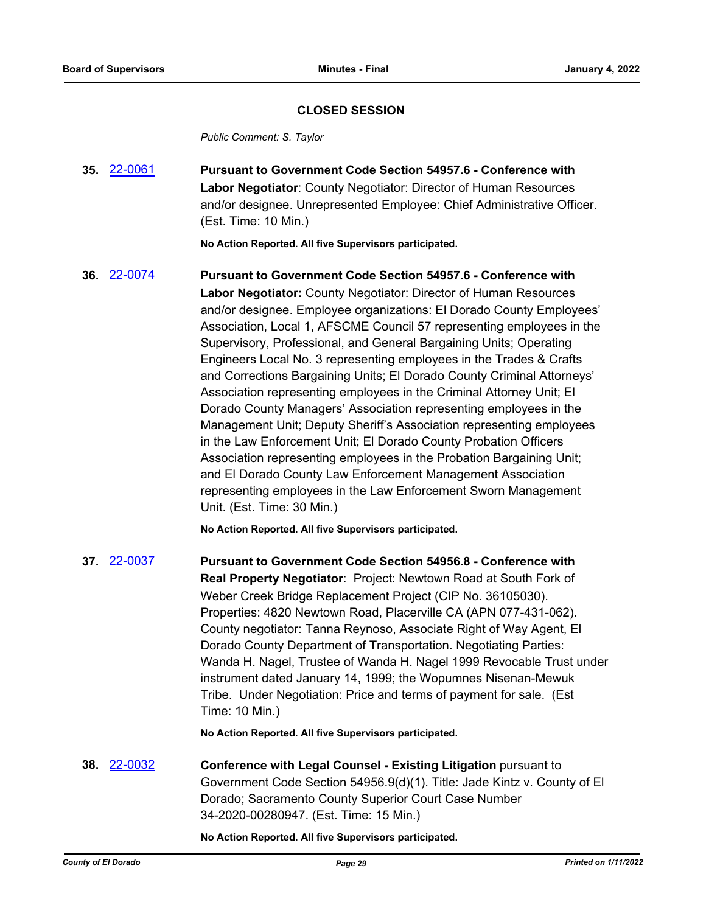# **CLOSED SESSION**

*Public Comment: S. Taylor*

**35.** [22-0061](http://eldorado.legistar.com/gateway.aspx?m=l&id=/matter.aspx?key=30961) **Pursuant to Government Code Section 54957.6 - Conference with Labor Negotiator**: County Negotiator: Director of Human Resources and/or designee. Unrepresented Employee: Chief Administrative Officer. (Est. Time: 10 Min.)

**No Action Reported. All five Supervisors participated.**

**36.** [22-0074](http://eldorado.legistar.com/gateway.aspx?m=l&id=/matter.aspx?key=30974) **Pursuant to Government Code Section 54957.6 - Conference with Labor Negotiator:** County Negotiator: Director of Human Resources and/or designee. Employee organizations: El Dorado County Employees' Association, Local 1, AFSCME Council 57 representing employees in the Supervisory, Professional, and General Bargaining Units; Operating Engineers Local No. 3 representing employees in the Trades & Crafts and Corrections Bargaining Units; El Dorado County Criminal Attorneys' Association representing employees in the Criminal Attorney Unit; El Dorado County Managers' Association representing employees in the Management Unit; Deputy Sheriff's Association representing employees in the Law Enforcement Unit; El Dorado County Probation Officers Association representing employees in the Probation Bargaining Unit; and El Dorado County Law Enforcement Management Association representing employees in the Law Enforcement Sworn Management Unit. (Est. Time: 30 Min.)

**No Action Reported. All five Supervisors participated.**

**37.** [22-0037](http://eldorado.legistar.com/gateway.aspx?m=l&id=/matter.aspx?key=30937) **Pursuant to Government Code Section 54956.8 - Conference with Real Property Negotiator**: Project: Newtown Road at South Fork of Weber Creek Bridge Replacement Project (CIP No. 36105030). Properties: 4820 Newtown Road, Placerville CA (APN 077-431-062). County negotiator: Tanna Reynoso, Associate Right of Way Agent, El Dorado County Department of Transportation. Negotiating Parties: Wanda H. Nagel, Trustee of Wanda H. Nagel 1999 Revocable Trust under instrument dated January 14, 1999; the Wopumnes Nisenan-Mewuk Tribe. Under Negotiation: Price and terms of payment for sale. (Est Time: 10 Min.)

**No Action Reported. All five Supervisors participated.**

**38.** [22-0032](http://eldorado.legistar.com/gateway.aspx?m=l&id=/matter.aspx?key=30932) **Conference with Legal Counsel - Existing Litigation** pursuant to Government Code Section 54956.9(d)(1). Title: Jade Kintz v. County of El Dorado; Sacramento County Superior Court Case Number 34-2020-00280947. (Est. Time: 15 Min.)

**No Action Reported. All five Supervisors participated.**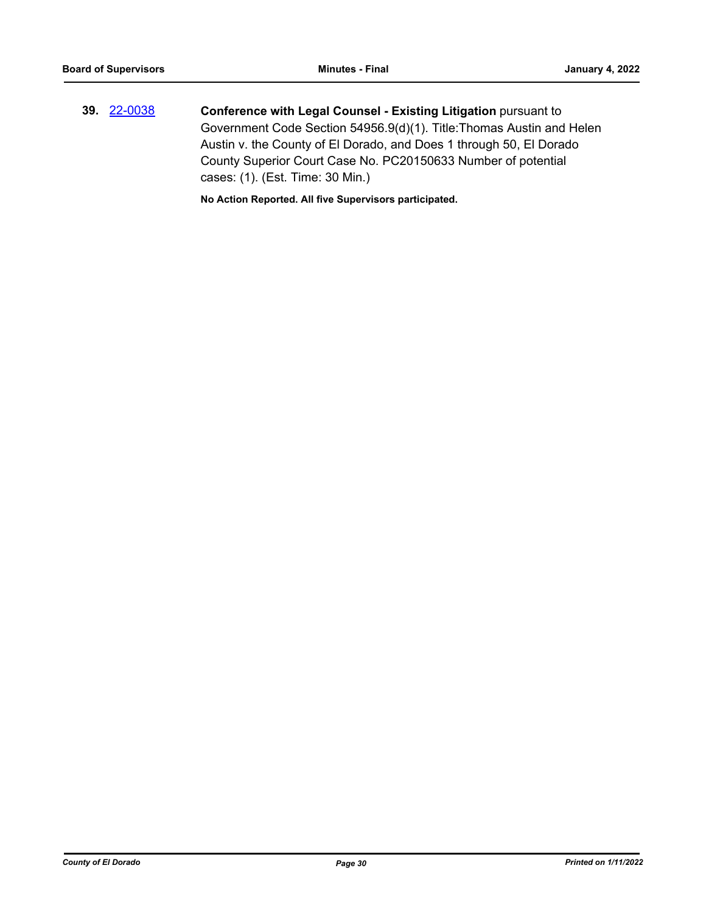**39.** [22-0038](http://eldorado.legistar.com/gateway.aspx?m=l&id=/matter.aspx?key=30938) **Conference with Legal Counsel - Existing Litigation** pursuant to Government Code Section 54956.9(d)(1). Title:Thomas Austin and Helen Austin v. the County of El Dorado, and Does 1 through 50, El Dorado County Superior Court Case No. PC20150633 Number of potential cases: (1). (Est. Time: 30 Min.)

**No Action Reported. All five Supervisors participated.**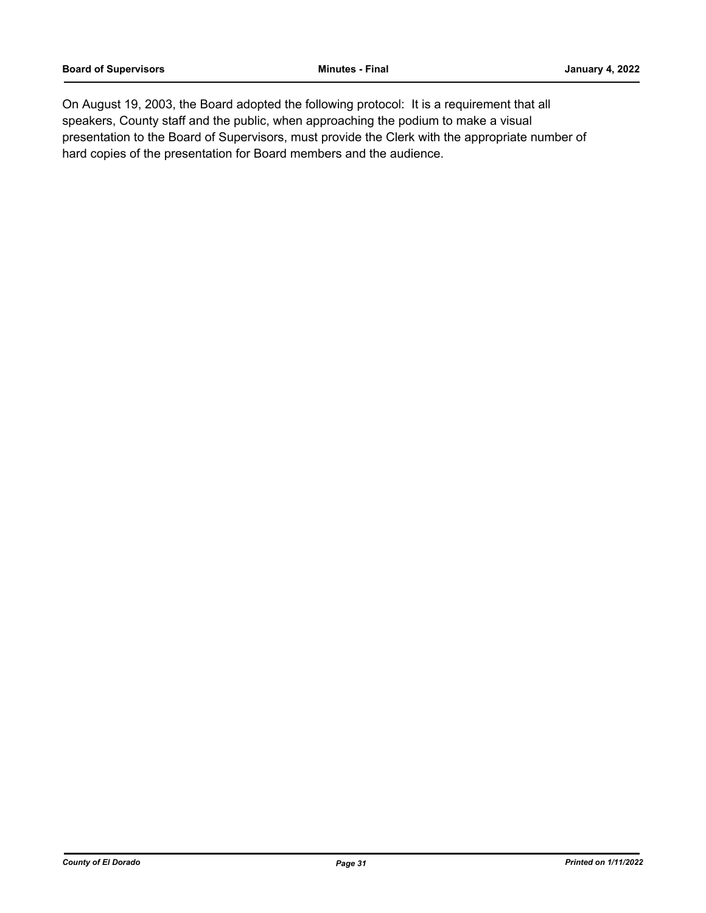On August 19, 2003, the Board adopted the following protocol: It is a requirement that all speakers, County staff and the public, when approaching the podium to make a visual presentation to the Board of Supervisors, must provide the Clerk with the appropriate number of hard copies of the presentation for Board members and the audience.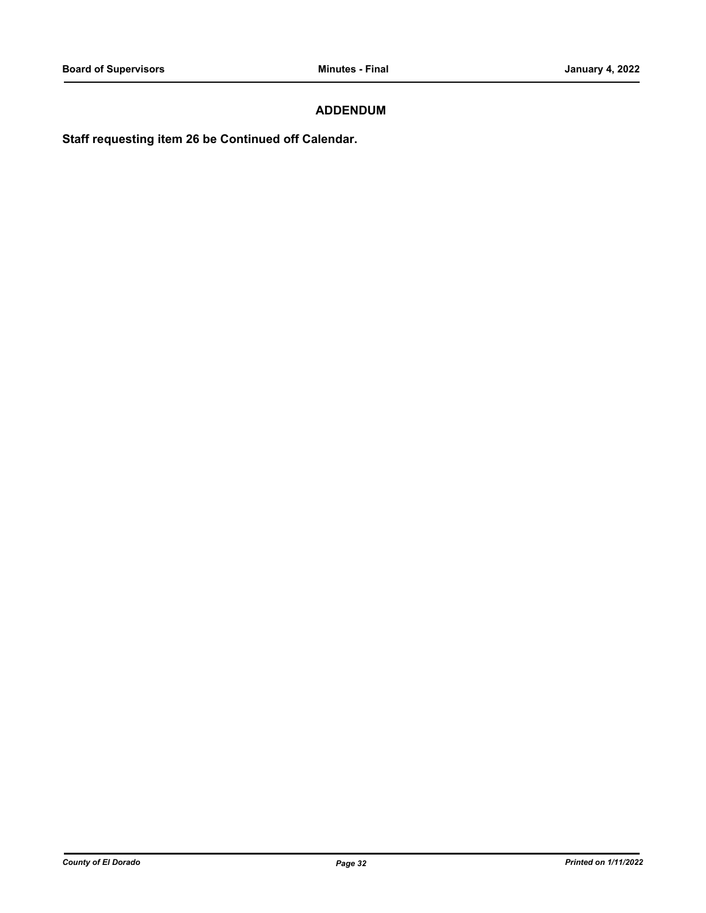# **ADDENDUM**

**Staff requesting item 26 be Continued off Calendar.**